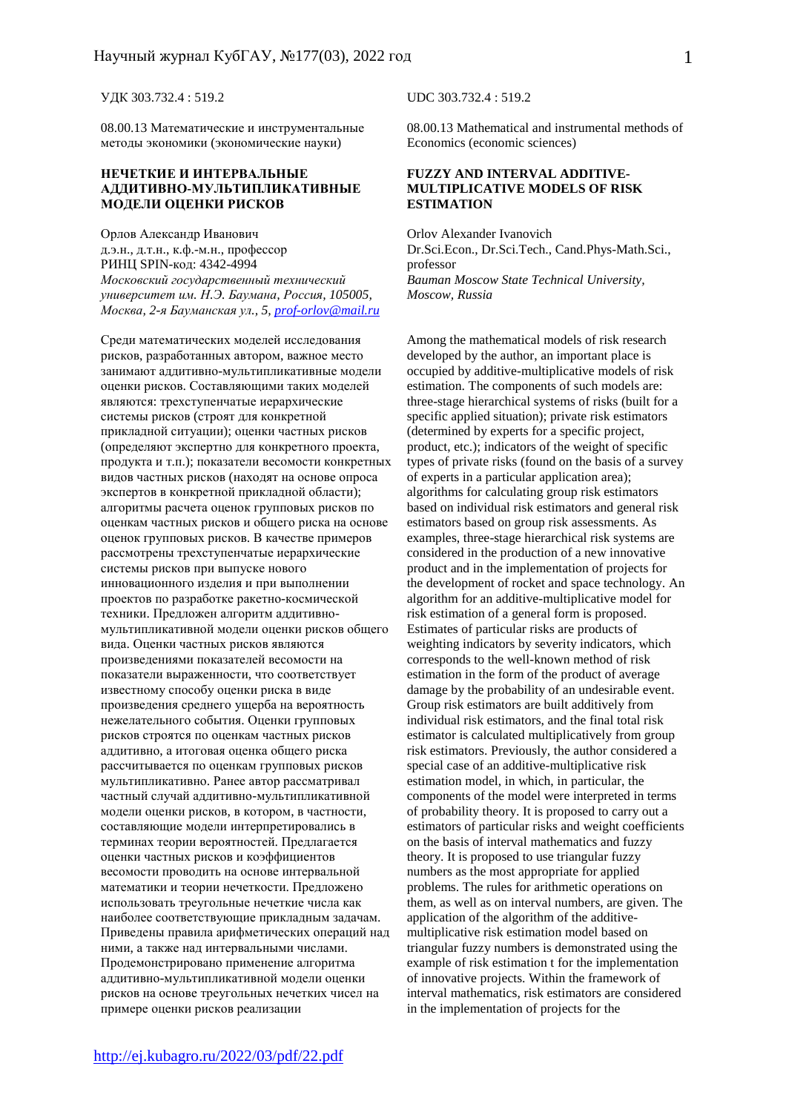УДК 303.732.4 : 519.2 UDC 303.732.4 : 519.2

08.00.13 Математические и инструментальные методы экономики (экономические науки)

#### **НЕЧЕТКИЕ И ИНТЕРВАЛЬНЫЕ АДДИТИВНО-МУЛЬТИПЛИКАТИВНЫЕ МОДЕЛИ ОЦЕНКИ РИСКОВ**

Орлов Александр Иванович д.э.н., д.т.н., к.ф.-м.н., профессор РИНЦ SPIN-код: 4342-4994 *Московский государственный технический университет им. Н.Э. Баумана, Россия, 105005, Москва, 2-я Бауманская ул., 5, prof-orlov@mail.ru* 

Среди математических моделей исследования рисков, разработанных автором, важное место занимают аддитивно-мультипликативные модели оценки рисков. Составляющими таких моделей являются: трехступенчатые иерархические системы рисков (строят для конкретной прикладной ситуации); оценки частных рисков (определяют экспертно для конкретного проекта, продукта и т.п.); показатели весомости конкретных видов частных рисков (находят на основе опроса экспертов в конкретной прикладной области); алгоритмы расчета оценок групповых рисков по оценкам частных рисков и общего риска на основе оценок групповых рисков. В качестве примеров рассмотрены трехступенчатые иерархические системы рисков при выпуске нового инновационного изделия и при выполнении проектов по разработке ракетно-космической техники. Предложен алгоритм аддитивномультипликативной модели оценки рисков общего вида. Оценки частных рисков являются произведениями показателей весомости на показатели выраженности, что соответствует известному способу оценки риска в виде произведения среднего ущерба на вероятность нежелательного события. Оценки групповых рисков строятся по оценкам частных рисков аддитивно, а итоговая оценка общего риска рассчитывается по оценкам групповых рисков мультипликативно. Ранее автор рассматривал частный случай аддитивно-мультипликативной модели оценки рисков, в котором, в частности, составляющие модели интерпретировались в терминах теории вероятностей. Предлагается оценки частных рисков и коэффициентов весомости проводить на основе интервальной математики и теории нечеткости. Предложено использовать треугольные нечеткие числа как наиболее соответствующие прикладным задачам. Приведены правила арифметических операций над ними, а также над интервальными числами. Продемонстрировано применение алгоритма аддитивно-мультипликативной модели оценки рисков на основе треугольных нечетких чисел на примере оценки рисков реализации

08.00.13 Mathematical and instrumental methods of Economics (economic sciences)

#### **FUZZY AND INTERVAL ADDITIVE-MULTIPLICATIVE MODELS OF RISK ESTIMATION**

Orlov Alexander Ivanovich Dr.Sci.Econ., Dr.Sci.Tech., Cand.Phys-Math.Sci., professor *Bauman Moscow State Technical University, Moscow, Russia* 

Among the mathematical models of risk research developed by the author, an important place is occupied by additive-multiplicative models of risk estimation. The components of such models are: three-stage hierarchical systems of risks (built for a specific applied situation); private risk estimators (determined by experts for a specific project, product, etc.); indicators of the weight of specific types of private risks (found on the basis of a survey of experts in a particular application area); algorithms for calculating group risk estimators based on individual risk estimators and general risk estimators based on group risk assessments. As examples, three-stage hierarchical risk systems are considered in the production of a new innovative product and in the implementation of projects for the development of rocket and space technology. An algorithm for an additive-multiplicative model for risk estimation of a general form is proposed. Estimates of particular risks are products of weighting indicators by severity indicators, which corresponds to the well-known method of risk estimation in the form of the product of average damage by the probability of an undesirable event. Group risk estimators are built additively from individual risk estimators, and the final total risk estimator is calculated multiplicatively from group risk estimators. Previously, the author considered a special case of an additive-multiplicative risk estimation model, in which, in particular, the components of the model were interpreted in terms of probability theory. It is proposed to carry out a estimators of particular risks and weight coefficients on the basis of interval mathematics and fuzzy theory. It is proposed to use triangular fuzzy numbers as the most appropriate for applied problems. The rules for arithmetic operations on them, as well as on interval numbers, are given. The application of the algorithm of the additivemultiplicative risk estimation model based on triangular fuzzy numbers is demonstrated using the example of risk estimation t for the implementation of innovative projects. Within the framework of interval mathematics, risk estimators are considered in the implementation of projects for the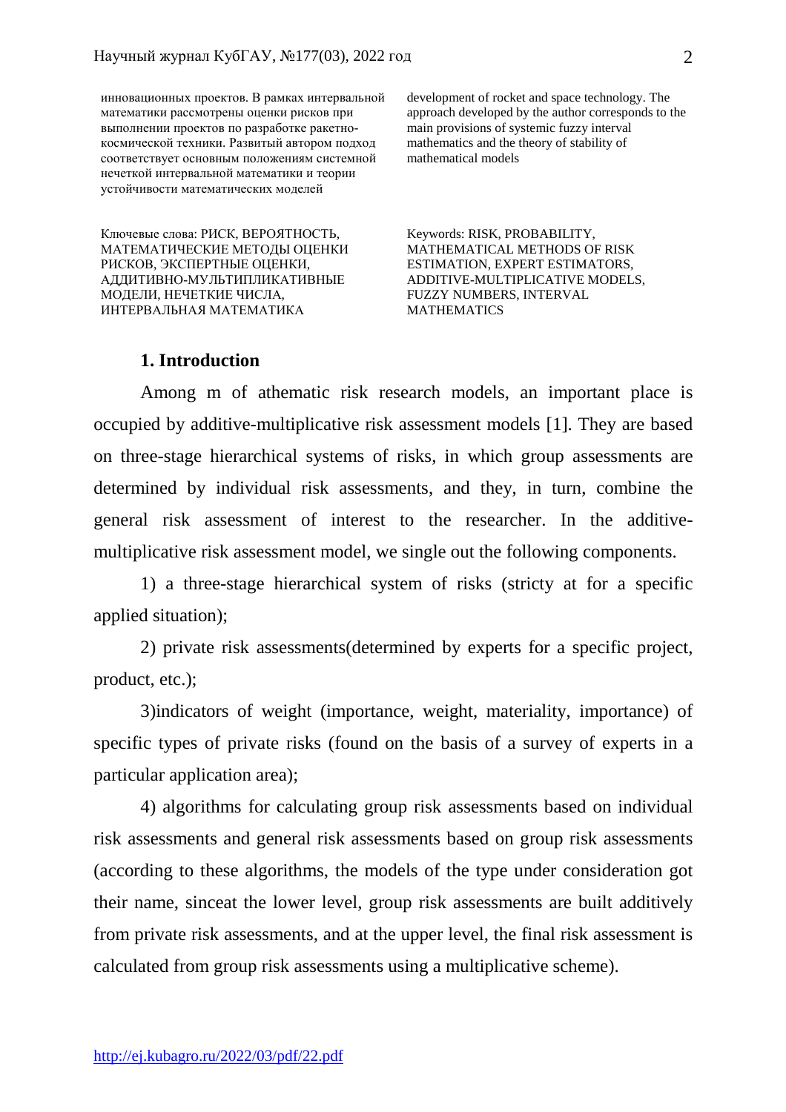инновационных проектов. В рамках интервальной математики рассмотрены оценки рисков при выполнении проектов по разработке ракетнокосмической техники. Развитый автором подход соответствует основным положениям системной нечеткой интервальной математики и теории устойчивости математических моделей

Ключевые слова: РИСК, ВЕРОЯТНОСТЬ, МАТЕМАТИЧЕСКИЕ МЕТОДЫ ОЦЕНКИ РИСКОВ, ЭКСПЕРТНЫЕ ОЦЕНКИ, АДДИТИВНО-МУЛЬТИПЛИКАТИВНЫЕ МОДЕЛИ, НЕЧЕТКИЕ ЧИСЛА, ИНТЕРВАЛЬНАЯ МАТЕМАТИКА

development of rocket and space technology. The approach developed by the author corresponds to the main provisions of systemic fuzzy interval mathematics and the theory of stability of mathematical models

Keywords: RISK, PROBABILITY, MATHEMATICAL METHODS OF RISK ESTIMATION, EXPERT ESTIMATORS, ADDITIVE-MULTIPLICATIVE MODELS, FUZZY NUMBERS, INTERVAL MATHEMATICS

### **1. Introduction**

 Among m of athematic risk research models, an important place is occupied by additive-multiplicative risk assessment models [1]. They are based on three-stage hierarchical systems of risks, in which group assessments are determined by individual risk assessments, and they, in turn, combine the general risk assessment of interest to the researcher. In the additivemultiplicative risk assessment model, we single out the following components.

 1) a three-stage hierarchical system of risks (stricty at for a specific applied situation);

 2) private risk assessments(determined by experts for a specific project, product, etc.);

 3)indicators of weight (importance, weight, materiality, importance) of specific types of private risks (found on the basis of a survey of experts in a particular application area);

 4) algorithms for calculating group risk assessments based on individual risk assessments and general risk assessments based on group risk assessments (according to these algorithms, the models of the type under consideration got their name, sinceat the lower level, group risk assessments are built additively from private risk assessments, and at the upper level, the final risk assessment is calculated from group risk assessments using a multiplicative scheme).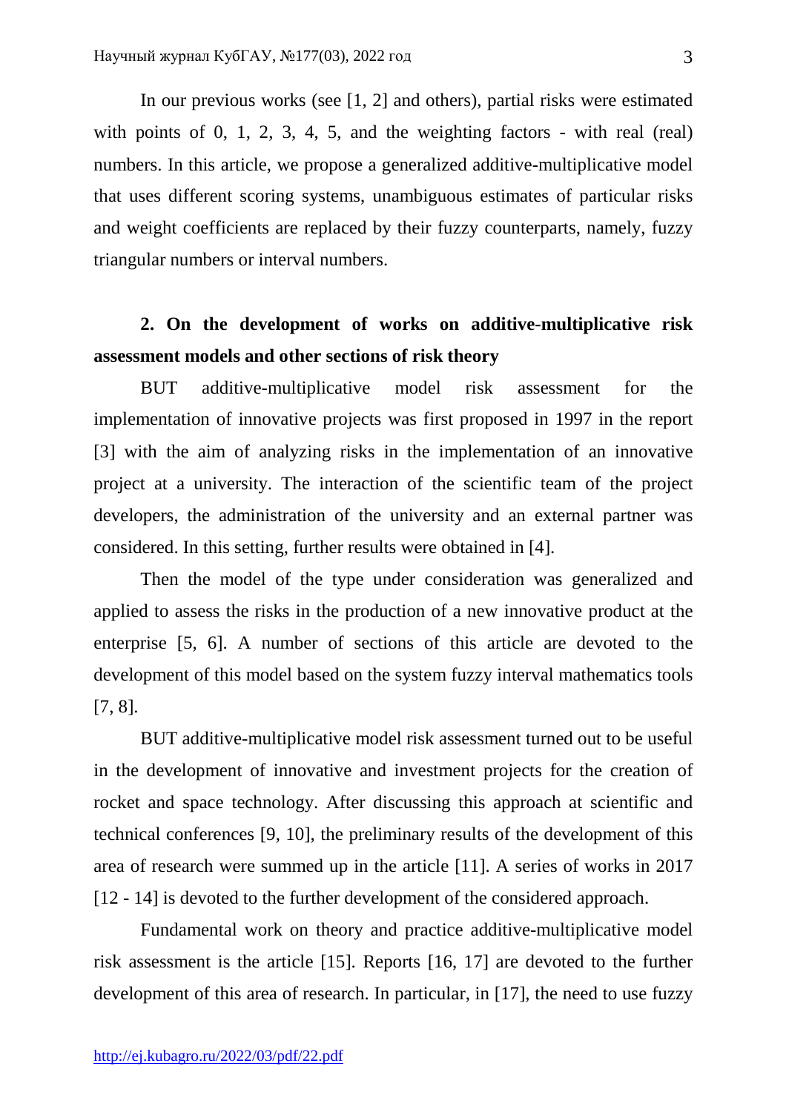In our previous works (see [1, 2] and others), partial risks were estimated with points of 0, 1, 2, 3, 4, 5, and the weighting factors - with real (real) numbers. In this article, we propose a generalized additive-multiplicative model that uses different scoring systems, unambiguous estimates of particular risks and weight coefficients are replaced by their fuzzy counterparts, namely, fuzzy triangular numbers or interval numbers.

# **2. On the development of works on additive-multiplicative risk assessment models and other sections of risk theory**

 BUT additive-multiplicative model risk assessment for the implementation of innovative projects was first proposed in 1997 in the report [3] with the aim of analyzing risks in the implementation of an innovative project at a university. The interaction of the scientific team of the project developers, the administration of the university and an external partner was considered. In this setting, further results were obtained in [4].

 Then the model of the type under consideration was generalized and applied to assess the risks in the production of a new innovative product at the enterprise [5, 6]. A number of sections of this article are devoted to the development of this model based on the system fuzzy interval mathematics tools [7, 8].

 BUT additive-multiplicative model risk assessment turned out to be useful in the development of innovative and investment projects for the creation of rocket and space technology. After discussing this approach at scientific and technical conferences [9, 10], the preliminary results of the development of this area of research were summed up in the article [11]. A series of works in 2017 [12 - 14] is devoted to the further development of the considered approach.

 Fundamental work on theory and practice additive-multiplicative model risk assessment is the article [15]. Reports [16, 17] are devoted to the further development of this area of research. In particular, in [17], the need to use fuzzy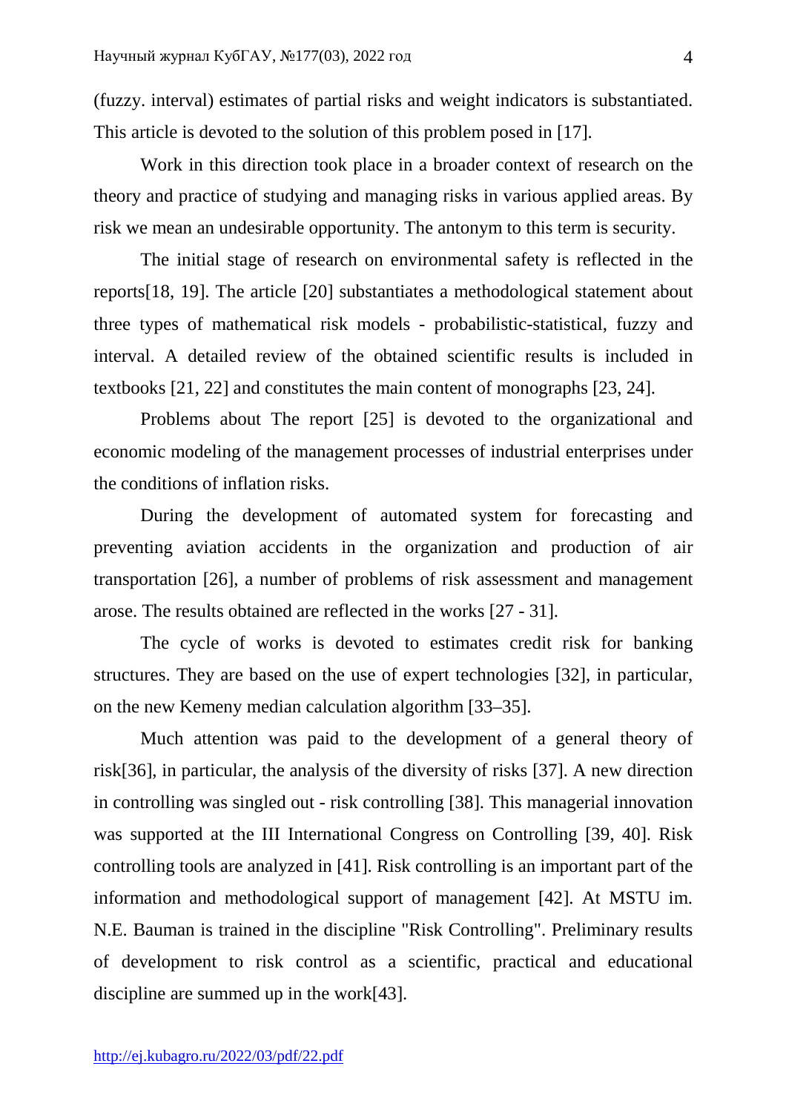(fuzzy. interval) estimates of partial risks and weight indicators is substantiated. This article is devoted to the solution of this problem posed in [17].

 Work in this direction took place in a broader context of research on the theory and practice of studying and managing risks in various applied areas. By risk we mean an undesirable opportunity. The antonym to this term is security.

 The initial stage of research on environmental safety is reflected in the reports[18, 19]. The article [20] substantiates a methodological statement about three types of mathematical risk models - probabilistic-statistical, fuzzy and interval. A detailed review of the obtained scientific results is included in textbooks [21, 22] and constitutes the main content of monographs [23, 24].

 Problems about The report [25] is devoted to the organizational and economic modeling of the management processes of industrial enterprises under the conditions of inflation risks.

 During the development of automated system for forecasting and preventing aviation accidents in the organization and production of air transportation [26], a number of problems of risk assessment and management arose. The results obtained are reflected in the works [27 - 31].

 The cycle of works is devoted to estimates credit risk for banking structures. They are based on the use of expert technologies [32], in particular, on the new Kemeny median calculation algorithm [33–35].

 Much attention was paid to the development of a general theory of risk[36], in particular, the analysis of the diversity of risks [37]. A new direction in controlling was singled out - risk controlling [38]. This managerial innovation was supported at the III International Congress on Controlling [39, 40]. Risk controlling tools are analyzed in [41]. Risk controlling is an important part of the information and methodological support of management [42]. At MSTU im. N.E. Bauman is trained in the discipline "Risk Controlling". Preliminary results of development to risk control as a scientific, practical and educational discipline are summed up in the work[43].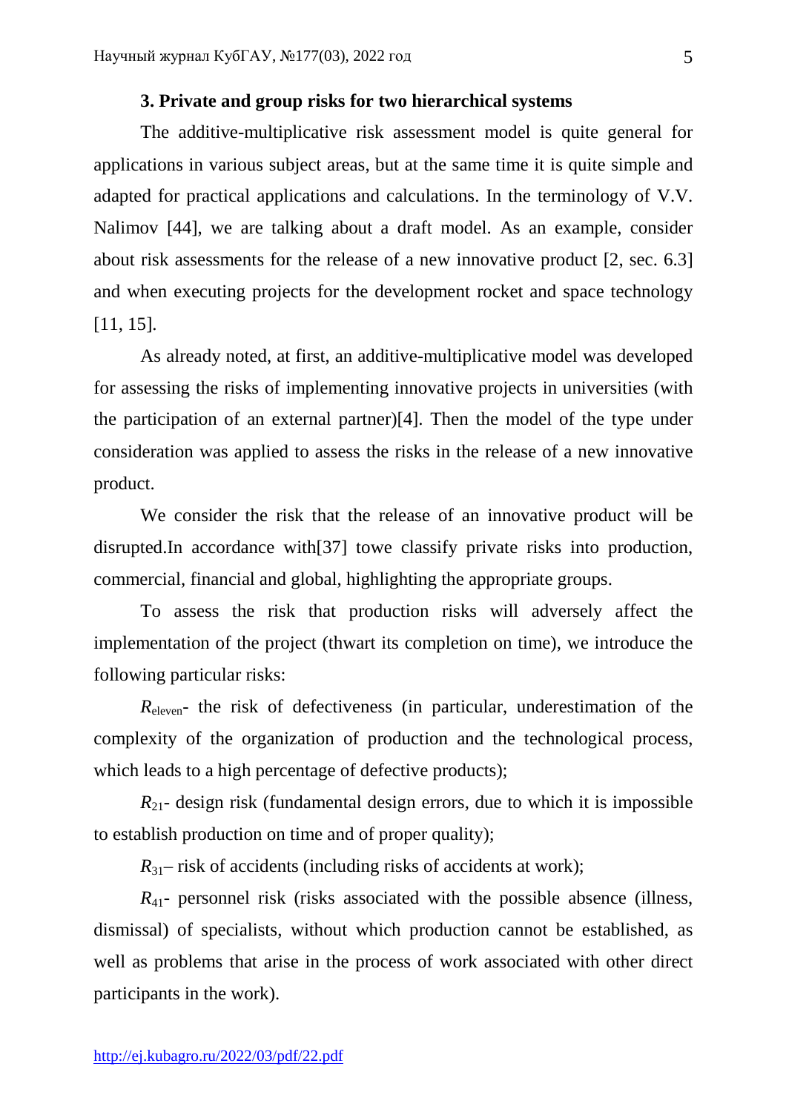## **3. Private and group risks for two hierarchical systems**

 The additive-multiplicative risk assessment model is quite general for applications in various subject areas, but at the same time it is quite simple and adapted for practical applications and calculations. In the terminology of V.V. Nalimov [44], we are talking about a draft model. As an example, consider about risk assessments for the release of a new innovative product [2, sec. 6.3] and when executing projects for the development rocket and space technology [11, 15].

 As already noted, at first, an additive-multiplicative model was developed for assessing the risks of implementing innovative projects in universities (with the participation of an external partner)[4]. Then the model of the type under consideration was applied to assess the risks in the release of a new innovative product.

 We consider the risk that the release of an innovative product will be disrupted.In accordance with[37] towe classify private risks into production, commercial, financial and global, highlighting the appropriate groups.

 To assess the risk that production risks will adversely affect the implementation of the project (thwart its completion on time), we introduce the following particular risks:

*R*<sub>eleven</sub>- the risk of defectiveness (in particular, underestimation of the complexity of the organization of production and the technological process, which leads to a high percentage of defective products);

 $R_{21}$ - design risk (fundamental design errors, due to which it is impossible to establish production on time and of proper quality);

 $R_{31}$ – risk of accidents (including risks of accidents at work);

 $R_{41}$ - personnel risk (risks associated with the possible absence (illness, dismissal) of specialists, without which production cannot be established, as well as problems that arise in the process of work associated with other direct participants in the work).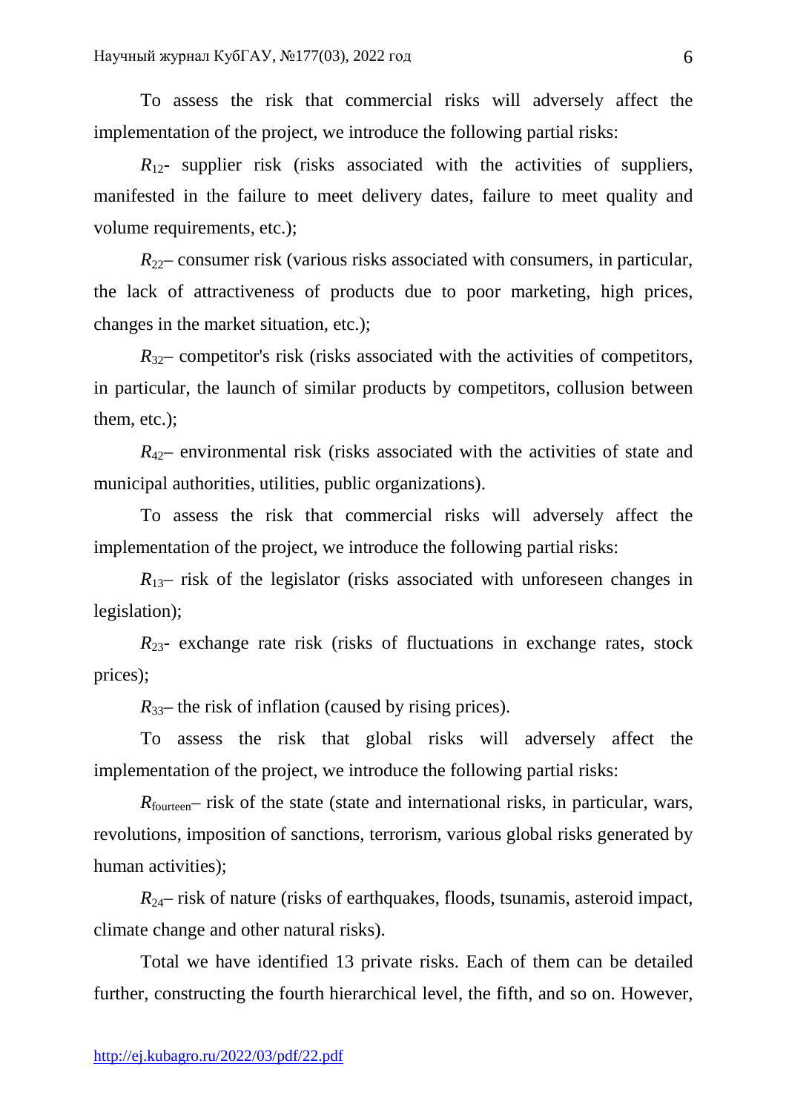To assess the risk that commercial risks will adversely affect the implementation of the project, we introduce the following partial risks:

 $R_{12}$ - supplier risk (risks associated with the activities of suppliers, manifested in the failure to meet delivery dates, failure to meet quality and volume requirements, etc.);

 $R_{22}$ – consumer risk (various risks associated with consumers, in particular, the lack of attractiveness of products due to poor marketing, high prices, changes in the market situation, etc.);

 $R_{32}$ – competitor's risk (risks associated with the activities of competitors, in particular, the launch of similar products by competitors, collusion between them, etc.);

 $R_{42}$ – environmental risk (risks associated with the activities of state and municipal authorities, utilities, public organizations).

 To assess the risk that commercial risks will adversely affect the implementation of the project, we introduce the following partial risks:

 $R_{13}$ – risk of the legislator (risks associated with unforeseen changes in legislation);

 $R_{23}$ - exchange rate risk (risks of fluctuations in exchange rates, stock prices);

 $R_{33}$ – the risk of inflation (caused by rising prices).

 To assess the risk that global risks will adversely affect the implementation of the project, we introduce the following partial risks:

*R*<sub>fourteen</sub>– risk of the state (state and international risks, in particular, wars, revolutions, imposition of sanctions, terrorism, various global risks generated by human activities);

*R*24– risk of nature (risks of earthquakes, floods, tsunamis, asteroid impact, climate change and other natural risks).

 Total we have identified 13 private risks. Each of them can be detailed further, constructing the fourth hierarchical level, the fifth, and so on. However,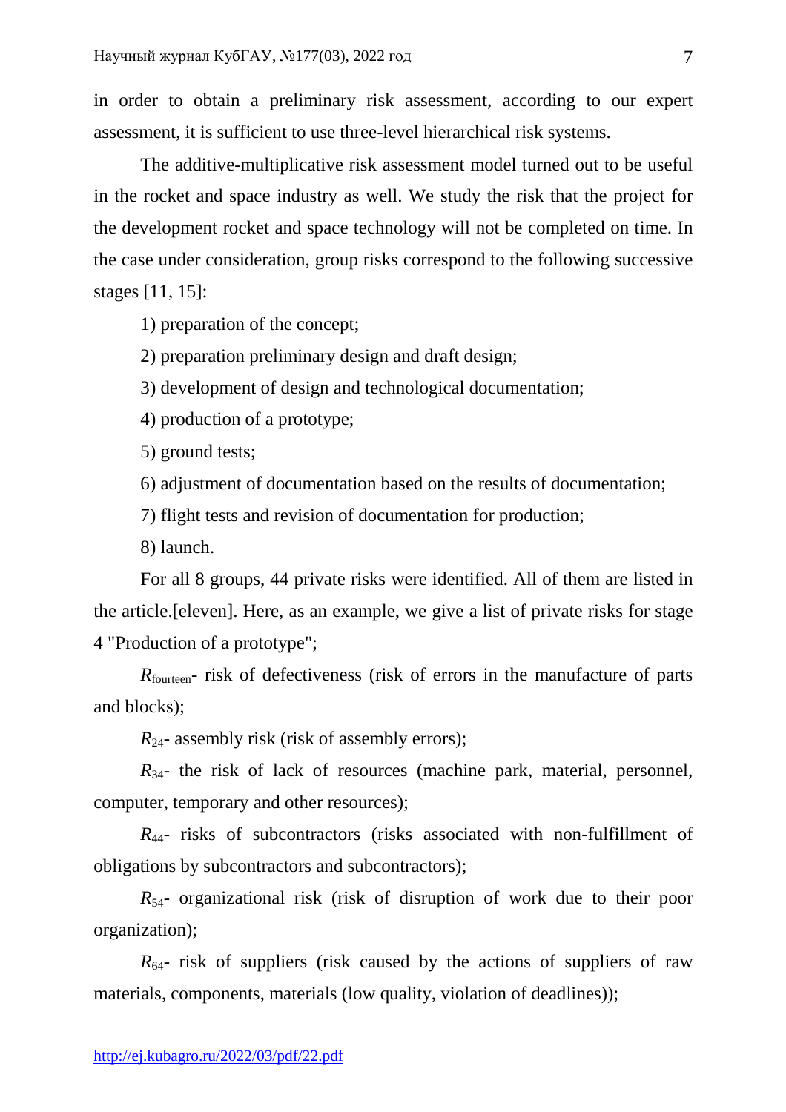in order to obtain a preliminary risk assessment, according to our expert assessment, it is sufficient to use three-level hierarchical risk systems.

 The additive-multiplicative risk assessment model turned out to be useful in the rocket and space industry as well. We study the risk that the project for the development rocket and space technology will not be completed on time. In the case under consideration, group risks correspond to the following successive stages [11, 15]:

1) preparation of the concept;

2) preparation preliminary design and draft design;

3) development of design and technological documentation;

4) production of a prototype;

5) ground tests;

6) adjustment of documentation based on the results of documentation;

7) flight tests and revision of documentation for production;

8) launch.

 For all 8 groups, 44 private risks were identified. All of them are listed in the article.[eleven]. Here, as an example, we give a list of private risks for stage 4 "Production of a prototype";

*R*<sub>fourteen</sub>- risk of defectiveness (risk of errors in the manufacture of parts and blocks);

*R*<sub>24</sub>- assembly risk (risk of assembly errors);

 $R_{34}$ - the risk of lack of resources (machine park, material, personnel, computer, temporary and other resources);

*R*44- risks of subcontractors (risks associated with non-fulfillment of obligations by subcontractors and subcontractors);

*R*54- organizational risk (risk of disruption of work due to their poor organization);

 $R_{64}$ - risk of suppliers (risk caused by the actions of suppliers of raw materials, components, materials (low quality, violation of deadlines));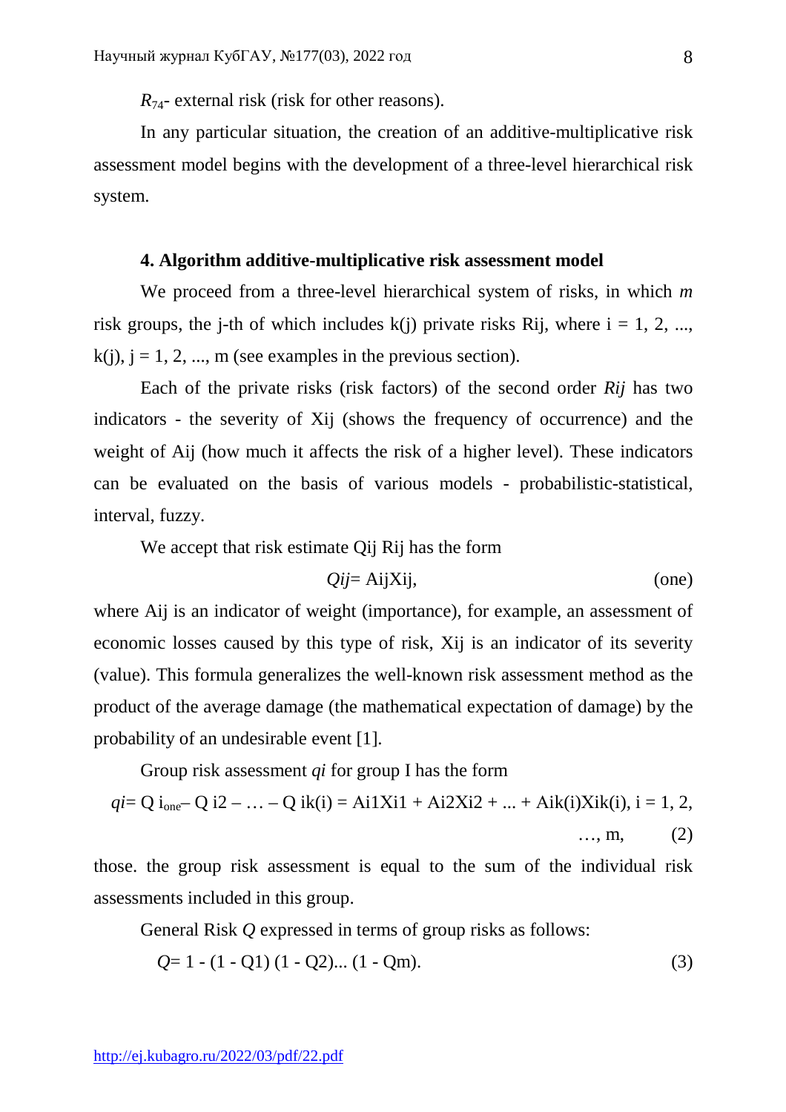*R*<sub>74</sub>- external risk (risk for other reasons).

 In any particular situation, the creation of an additive-multiplicative risk assessment model begins with the development of a three-level hierarchical risk system.

### **4. Algorithm additive-multiplicative risk assessment model**

 We proceed from a three-level hierarchical system of risks, in which *m*  risk groups, the j-th of which includes  $k(i)$  private risks Rij, where  $i = 1, 2, ...,$  $k(i)$ ,  $j = 1, 2, ..., m$  (see examples in the previous section).

 Each of the private risks (risk factors) of the second order *Rij* has two indicators - the severity of Xij (shows the frequency of occurrence) and the weight of Aij (how much it affects the risk of a higher level). These indicators can be evaluated on the basis of various models - probabilistic-statistical, interval, fuzzy.

We accept that risk estimate Qij Rij has the form

$$
Qij = AijXij,
$$
 (one)

where Aij is an indicator of weight (importance), for example, an assessment of economic losses caused by this type of risk, Xij is an indicator of its severity (value). This formula generalizes the well-known risk assessment method as the product of the average damage (the mathematical expectation of damage) by the probability of an undesirable event [1].

Group risk assessment *qi* for group I has the form

$$
qi = Q i_{one} - Q i2 - ... - Q ik(i) = Ai1Xi + Ai2Xi + ... + Aik(i)Xi(i), i = 1, 2, ...
$$
  
..., m, (2)

those. the group risk assessment is equal to the sum of the individual risk assessments included in this group.

General Risk *Q* expressed in terms of group risks as follows:

$$
Q=1-(1-Q1)(1-Q2)...(1-Qm).
$$
 (3)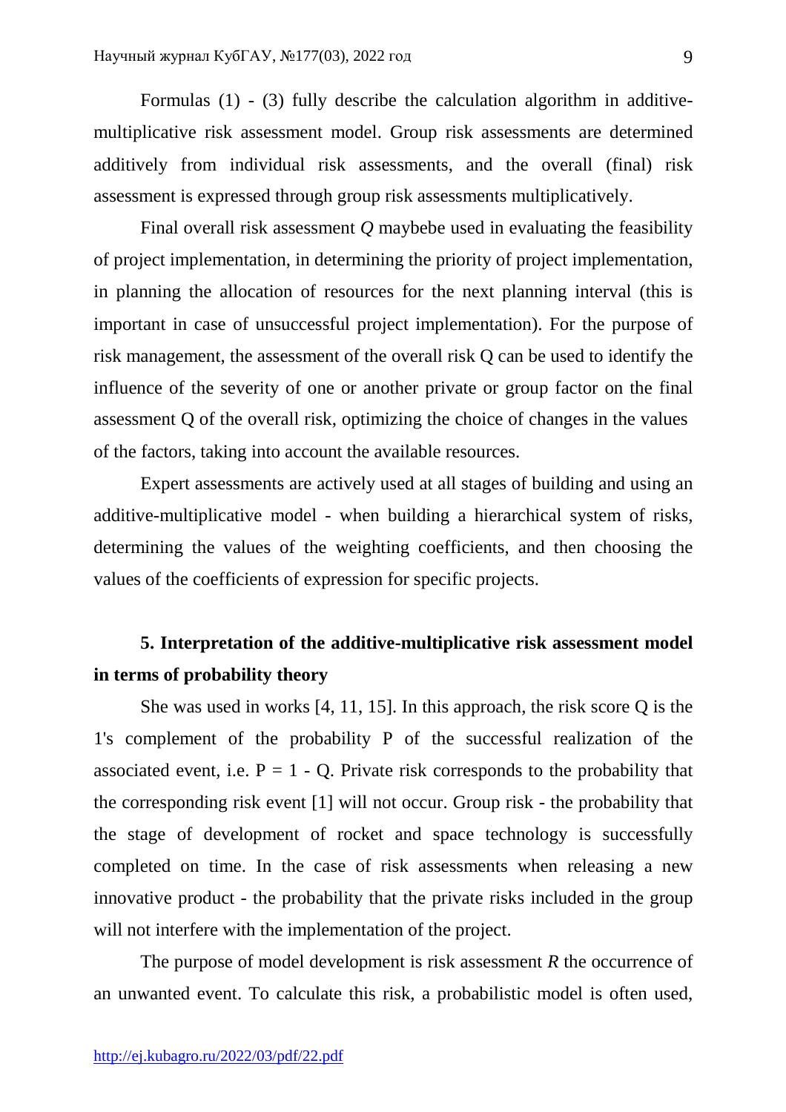Formulas (1) - (3) fully describe the calculation algorithm in additivemultiplicative risk assessment model. Group risk assessments are determined additively from individual risk assessments, and the overall (final) risk assessment is expressed through group risk assessments multiplicatively.

 Final overall risk assessment *Q* maybebe used in evaluating the feasibility of project implementation, in determining the priority of project implementation, in planning the allocation of resources for the next planning interval (this is important in case of unsuccessful project implementation). For the purpose of risk management, the assessment of the overall risk Q can be used to identify the influence of the severity of one or another private or group factor on the final assessment Q of the overall risk, optimizing the choice of changes in the values of the factors, taking into account the available resources.

 Expert assessments are actively used at all stages of building and using an additive-multiplicative model - when building a hierarchical system of risks, determining the values of the weighting coefficients, and then choosing the values of the coefficients of expression for specific projects.

# **5. Interpretation of the additive-multiplicative risk assessment model in terms of probability theory**

 She was used in works [4, 11, 15]. In this approach, the risk score Q is the 1's complement of the probability P of the successful realization of the associated event, i.e.  $P = 1 - Q$ . Private risk corresponds to the probability that the corresponding risk event [1] will not occur. Group risk - the probability that the stage of development of rocket and space technology is successfully completed on time. In the case of risk assessments when releasing a new innovative product - the probability that the private risks included in the group will not interfere with the implementation of the project.

 The purpose of model development is risk assessment *R* the occurrence of an unwanted event. To calculate this risk, a probabilistic model is often used,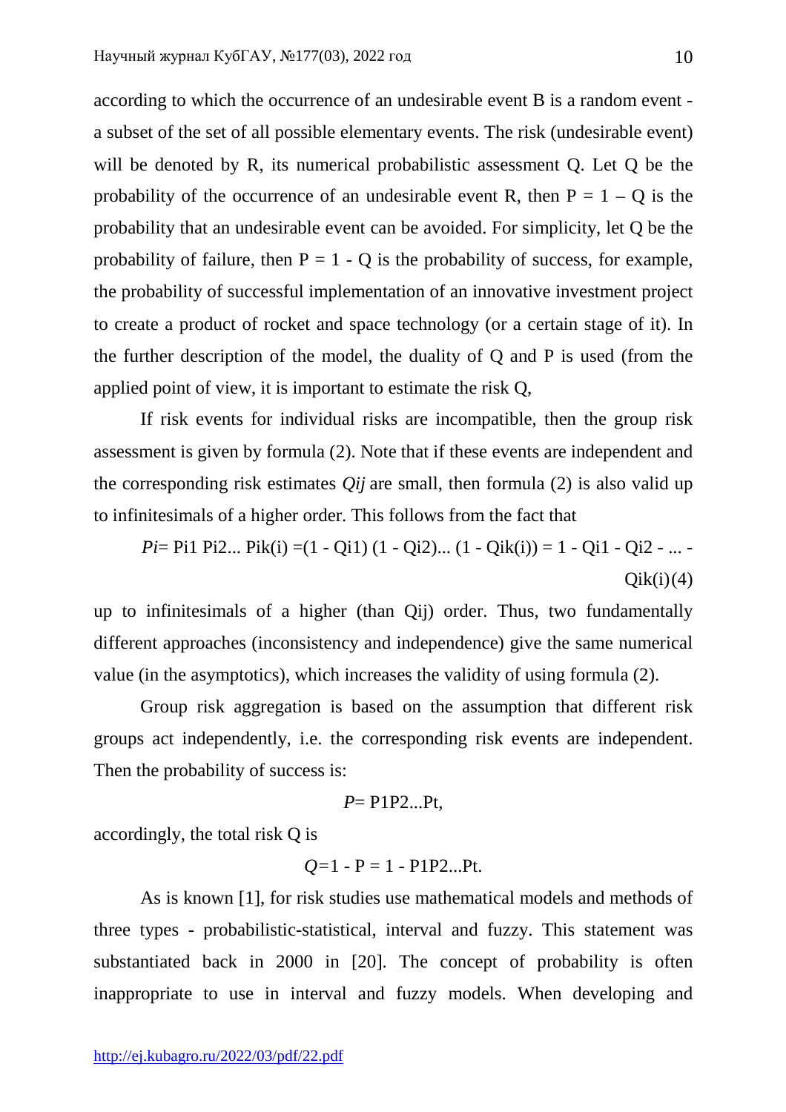according to which the occurrence of an undesirable event B is a random event a subset of the set of all possible elementary events. The risk (undesirable event) will be denoted by R, its numerical probabilistic assessment Q. Let Q be the probability of the occurrence of an undesirable event R, then  $P = 1 - Q$  is the probability that an undesirable event can be avoided. For simplicity, let Q be the probability of failure, then  $P = 1 - Q$  is the probability of success, for example, the probability of successful implementation of an innovative investment project to create a product of rocket and space technology (or a certain stage of it). In the further description of the model, the duality of Q and P is used (from the applied point of view, it is important to estimate the risk Q,

 If risk events for individual risks are incompatible, then the group risk assessment is given by formula (2). Note that if these events are independent and the corresponding risk estimates *Qij* are small, then formula (2) is also valid up to infinitesimals of a higher order. This follows from the fact that

*Pi*= Pi1 Pi2... Pik(i) =(1 - Qi1) (1 - Qi2)... (1 - Qik(i)) = 1 - Qi1 - Qi2 - ... - $Oik(i)$  (4)

up to infinitesimals of a higher (than Qij) order. Thus, two fundamentally different approaches (inconsistency and independence) give the same numerical value (in the asymptotics), which increases the validity of using formula (2).

 Group risk aggregation is based on the assumption that different risk groups act independently, i.e. the corresponding risk events are independent. Then the probability of success is:

$$
P = \text{P1P2...Pt},
$$

accordingly, the total risk Q is

$$
Q=1 - P = 1 - P1P2...Pt.
$$

 As is known [1], for risk studies use mathematical models and methods of three types - probabilistic-statistical, interval and fuzzy. This statement was substantiated back in 2000 in [20]. The concept of probability is often inappropriate to use in interval and fuzzy models. When developing and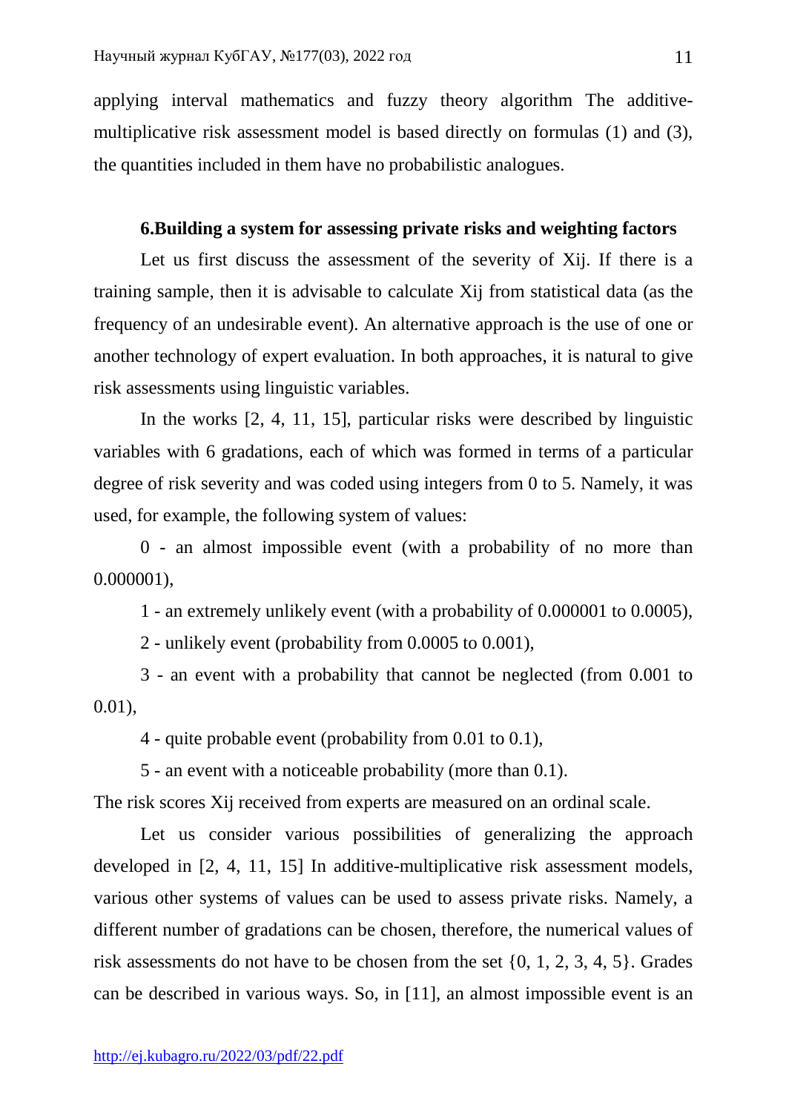applying interval mathematics and fuzzy theory algorithm The additivemultiplicative risk assessment model is based directly on formulas (1) and (3), the quantities included in them have no probabilistic analogues.

## **6.Building a system for assessing private risks and weighting factors**

 Let us first discuss the assessment of the severity of Xij. If there is a training sample, then it is advisable to calculate Xij from statistical data (as the frequency of an undesirable event). An alternative approach is the use of one or another technology of expert evaluation. In both approaches, it is natural to give risk assessments using linguistic variables.

 In the works [2, 4, 11, 15], particular risks were described by linguistic variables with 6 gradations, each of which was formed in terms of a particular degree of risk severity and was coded using integers from 0 to 5. Namely, it was used, for example, the following system of values:

 0 - an almost impossible event (with a probability of no more than 0.000001),

1 - an extremely unlikely event (with a probability of 0.000001 to 0.0005),

2 - unlikely event (probability from 0.0005 to 0.001),

 3 - an event with a probability that cannot be neglected (from 0.001 to 0.01),

4 - quite probable event (probability from 0.01 to 0.1),

5 - an event with a noticeable probability (more than 0.1).

The risk scores Xij received from experts are measured on an ordinal scale.

Let us consider various possibilities of generalizing the approach developed in [2, 4, 11, 15] In additive-multiplicative risk assessment models, various other systems of values can be used to assess private risks. Namely, a different number of gradations can be chosen, therefore, the numerical values of risk assessments do not have to be chosen from the set {0, 1, 2, 3, 4, 5}. Grades can be described in various ways. So, in [11], an almost impossible event is an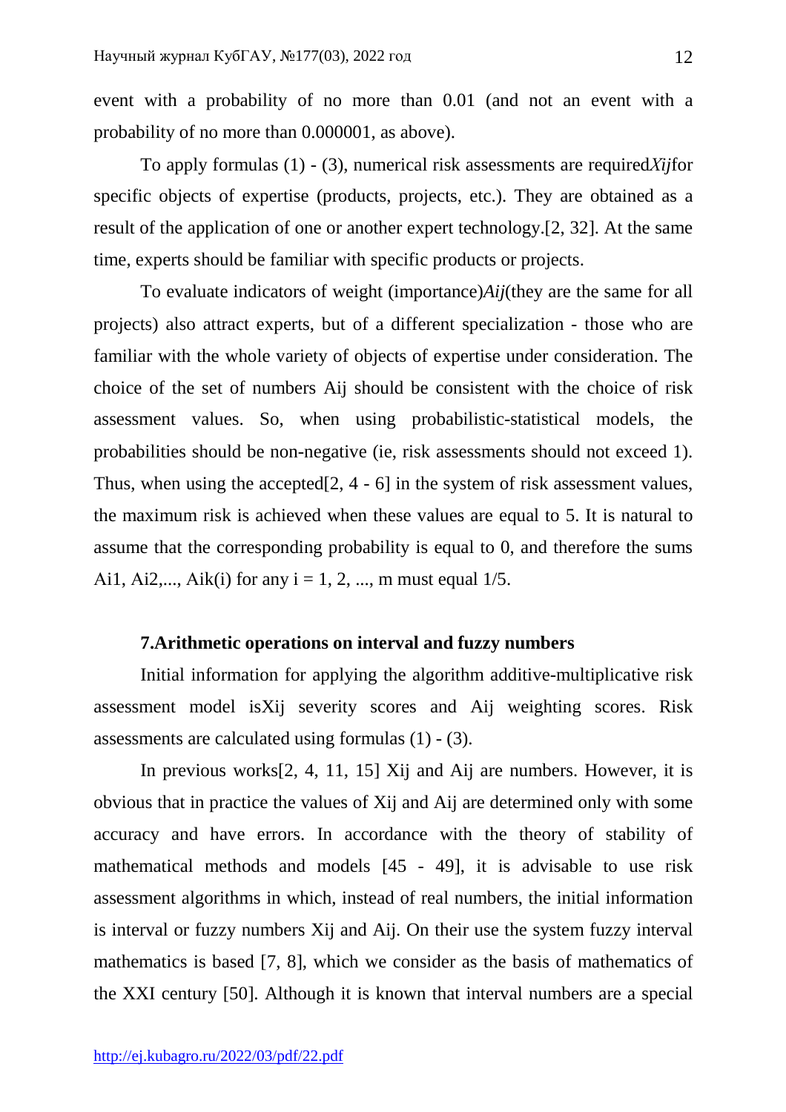event with a probability of no more than 0.01 (and not an event with a probability of no more than 0.000001, as above).

 To apply formulas (1) - (3), numerical risk assessments are required*Хij*for specific objects of expertise (products, projects, etc.). They are obtained as a result of the application of one or another expert technology.[2, 32]. At the same time, experts should be familiar with specific products or projects.

 To evaluate indicators of weight (importance)*Aij*(they are the same for all projects) also attract experts, but of a different specialization - those who are familiar with the whole variety of objects of expertise under consideration. The choice of the set of numbers Aij should be consistent with the choice of risk assessment values. So, when using probabilistic-statistical models, the probabilities should be non-negative (ie, risk assessments should not exceed 1). Thus, when using the accepted[2, 4 - 6] in the system of risk assessment values, the maximum risk is achieved when these values are equal to 5. It is natural to assume that the corresponding probability is equal to 0, and therefore the sums Ai1, Ai2,..., Aik(i) for any  $i = 1, 2, ..., m$  must equal  $1/5$ .

# **7.Arithmetic operations on interval and fuzzy numbers**

 Initial information for applying the algorithm additive-multiplicative risk assessment model isXij severity scores and Aij weighting scores. Risk assessments are calculated using formulas (1) - (3).

 In previous works[2, 4, 11, 15] Xij and Aij are numbers. However, it is obvious that in practice the values of Xij and Aij are determined only with some accuracy and have errors. In accordance with the theory of stability of mathematical methods and models [45 - 49], it is advisable to use risk assessment algorithms in which, instead of real numbers, the initial information is interval or fuzzy numbers Xij and Aij. On their use the system fuzzy interval mathematics is based [7, 8], which we consider as the basis of mathematics of the XXI century [50]. Although it is known that interval numbers are a special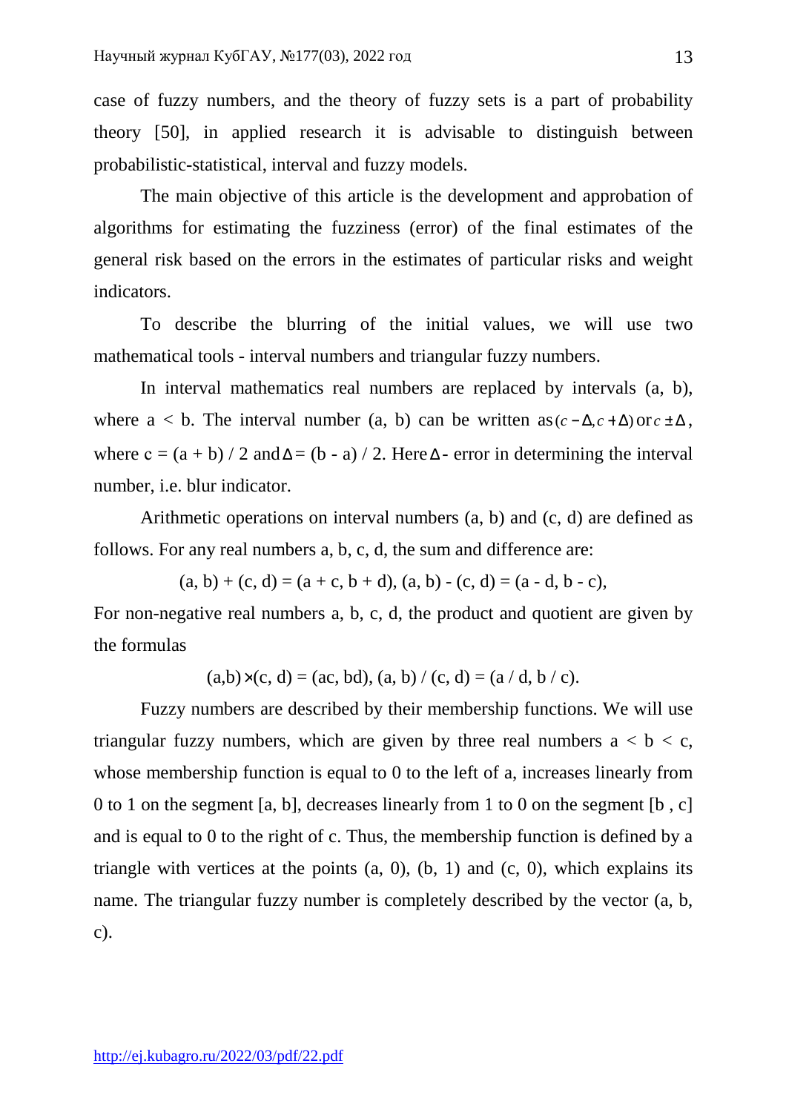case of fuzzy numbers, and the theory of fuzzy sets is a part of probability theory [50], in applied research it is advisable to distinguish between probabilistic-statistical, interval and fuzzy models.

 The main objective of this article is the development and approbation of algorithms for estimating the fuzziness (error) of the final estimates of the general risk based on the errors in the estimates of particular risks and weight indicators.

 To describe the blurring of the initial values, we will use two mathematical tools - interval numbers and triangular fuzzy numbers.

 In interval mathematics real numbers are replaced by intervals (a, b), where  $a < b$ . The interval number (a, b) can be written as  $(c - \Delta, c + \Delta)$  or  $c \pm \Delta$ , where  $c = (a + b) / 2$  and  $\Delta = (b - a) / 2$ . Here  $\Delta$ - error in determining the interval number, i.e. blur indicator.

 Arithmetic operations on interval numbers (a, b) and (c, d) are defined as follows. For any real numbers a, b, c, d, the sum and difference are:

 $(a, b) + (c, d) = (a + c, b + d), (a, b) - (c, d) = (a - d, b - c),$ 

For non-negative real numbers a, b, c, d, the product and quotient are given by the formulas

 $(a,b)\times(c,d) = (ac, bd), (a, b) / (c, d) = (a / d, b / c).$ 

 Fuzzy numbers are described by their membership functions. We will use triangular fuzzy numbers, which are given by three real numbers  $a < b < c$ , whose membership function is equal to 0 to the left of a, increases linearly from 0 to 1 on the segment [a, b], decreases linearly from 1 to 0 on the segment [b , c] and is equal to 0 to the right of c. Thus, the membership function is defined by a triangle with vertices at the points  $(a, 0)$ ,  $(b, 1)$  and  $(c, 0)$ , which explains its name. The triangular fuzzy number is completely described by the vector (a, b, c).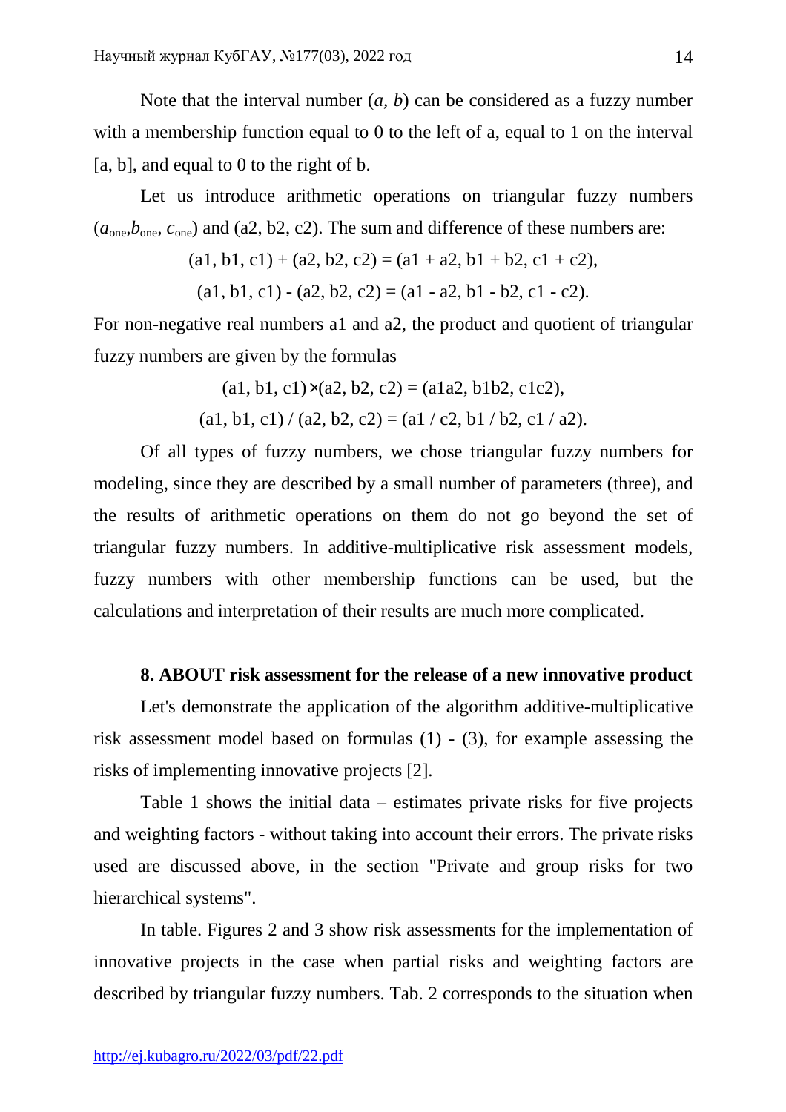Note that the interval number (*a, b*) can be considered as a fuzzy number with a membership function equal to 0 to the left of a, equal to 1 on the interval [a, b], and equal to 0 to the right of b.

 Let us introduce arithmetic operations on triangular fuzzy numbers  $(a<sub>one</sub>, b<sub>one</sub>, c<sub>one</sub>)$  and (a2, b2, c2). The sum and difference of these numbers are:

$$
(a1, b1, c1) + (a2, b2, c2) = (a1 + a2, b1 + b2, c1 + c2),
$$

 $(a1, b1, c1) - (a2, b2, c2) = (a1 - a2, b1 - b2, c1 - c2).$ 

For non-negative real numbers a1 and a2, the product and quotient of triangular fuzzy numbers are given by the formulas

$$
(a1, b1, c1) \times (a2, b2, c2) = (a1a2, b1b2, c1c2),
$$

 $(a1, b1, c1) / (a2, b2, c2) = (a1 / c2, b1 / b2, c1 / a2).$ 

 Of all types of fuzzy numbers, we chose triangular fuzzy numbers for modeling, since they are described by a small number of parameters (three), and the results of arithmetic operations on them do not go beyond the set of triangular fuzzy numbers. In additive-multiplicative risk assessment models, fuzzy numbers with other membership functions can be used, but the calculations and interpretation of their results are much more complicated.

#### **8. ABOUT risk assessment for the release of a new innovative product**

 Let's demonstrate the application of the algorithm additive-multiplicative risk assessment model based on formulas (1) - (3), for example assessing the risks of implementing innovative projects [2].

 Table 1 shows the initial data – estimates private risks for five projects and weighting factors - without taking into account their errors. The private risks used are discussed above, in the section "Private and group risks for two hierarchical systems".

 In table. Figures 2 and 3 show risk assessments for the implementation of innovative projects in the case when partial risks and weighting factors are described by triangular fuzzy numbers. Tab. 2 corresponds to the situation when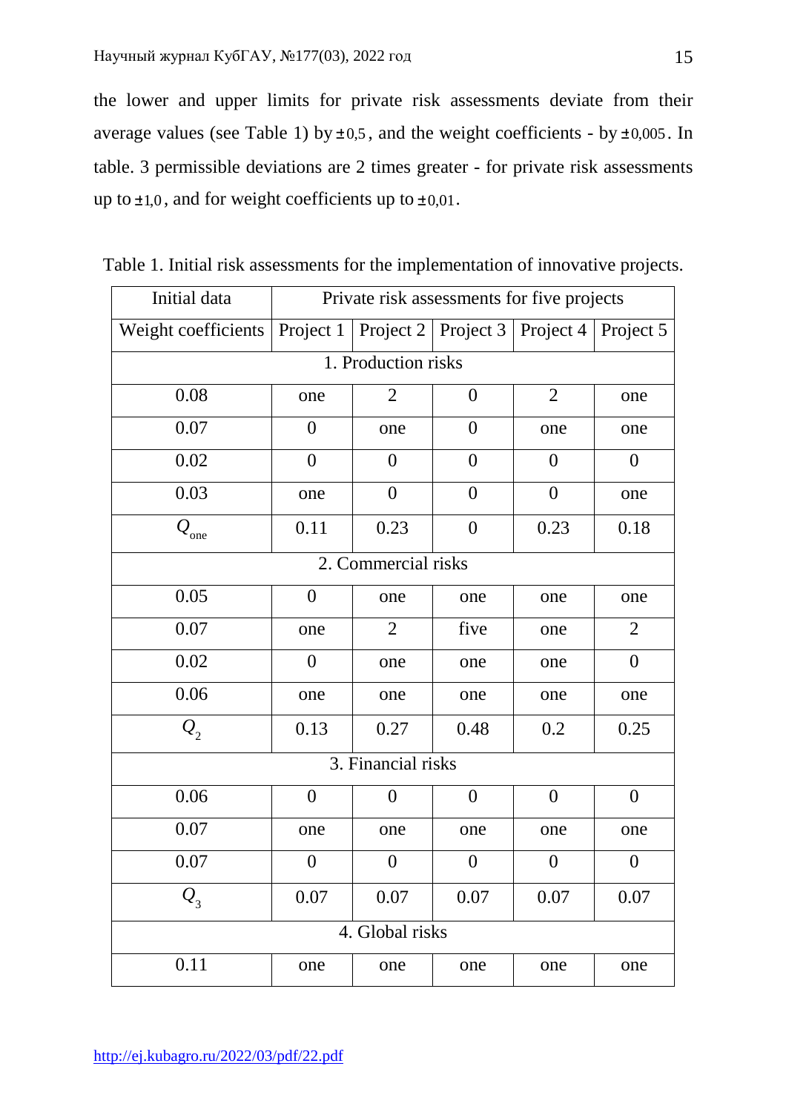the lower and upper limits for private risk assessments deviate from their average values (see Table 1) by  $\pm$  0,5, and the weight coefficients - by  $\pm$  0,005. In table. 3 permissible deviations are 2 times greater - for private risk assessments up to  $\pm 1,0$ , and for weight coefficients up to  $\pm 0.01$ .

| Initial data             |                  | Private risk assessments for five projects                |                  |                  |                  |  |  |
|--------------------------|------------------|-----------------------------------------------------------|------------------|------------------|------------------|--|--|
| Weight coefficients      |                  | Project 1   Project 2   Project 3   Project 4   Project 5 |                  |                  |                  |  |  |
| 1. Production risks      |                  |                                                           |                  |                  |                  |  |  |
| 0.08                     | one              | $\overline{2}$                                            | $\overline{0}$   | $\overline{2}$   | one              |  |  |
| 0.07                     | $\overline{0}$   | one                                                       | $\boldsymbol{0}$ | one              | one              |  |  |
| 0.02                     | $\overline{0}$   | $\overline{0}$                                            | $\boldsymbol{0}$ | $\overline{0}$   | $\boldsymbol{0}$ |  |  |
| 0.03                     | one              | $\overline{0}$                                            | $\overline{0}$   | $\boldsymbol{0}$ | one              |  |  |
| $\mathcal{Q}_\text{one}$ | 0.11             | 0.23                                                      | $\boldsymbol{0}$ | 0.23             | 0.18             |  |  |
|                          |                  | 2. Commercial risks                                       |                  |                  |                  |  |  |
| 0.05                     | $\boldsymbol{0}$ | one                                                       | one              | one              | one              |  |  |
| 0.07                     | one              | $\overline{2}$                                            | five             | one              | $\overline{2}$   |  |  |
| 0.02                     | $\boldsymbol{0}$ | one                                                       | one              | one              | $\boldsymbol{0}$ |  |  |
| 0.06                     | one              | one                                                       | one              | one              | one              |  |  |
| $\mathcal{Q}_2$          | 0.13             | 0.27                                                      | 0.48             | 0.2              | 0.25             |  |  |
|                          |                  | 3. Financial risks                                        |                  |                  |                  |  |  |
| 0.06                     | $\boldsymbol{0}$ | $\overline{0}$                                            | $\theta$         | $\boldsymbol{0}$ | $\overline{0}$   |  |  |
| 0.07                     | one              | one                                                       | one              | one              | one              |  |  |
| 0.07                     | $\boldsymbol{0}$ | $\boldsymbol{0}$                                          | $\boldsymbol{0}$ | $\boldsymbol{0}$ | $\boldsymbol{0}$ |  |  |
| $Q_{3}$                  | 0.07             | 0.07                                                      | 0.07             | 0.07             | 0.07             |  |  |
|                          |                  | 4. Global risks                                           |                  |                  |                  |  |  |
| 0.11                     | one              | one                                                       | one              | one              | one              |  |  |

Table 1. Initial risk assessments for the implementation of innovative projects.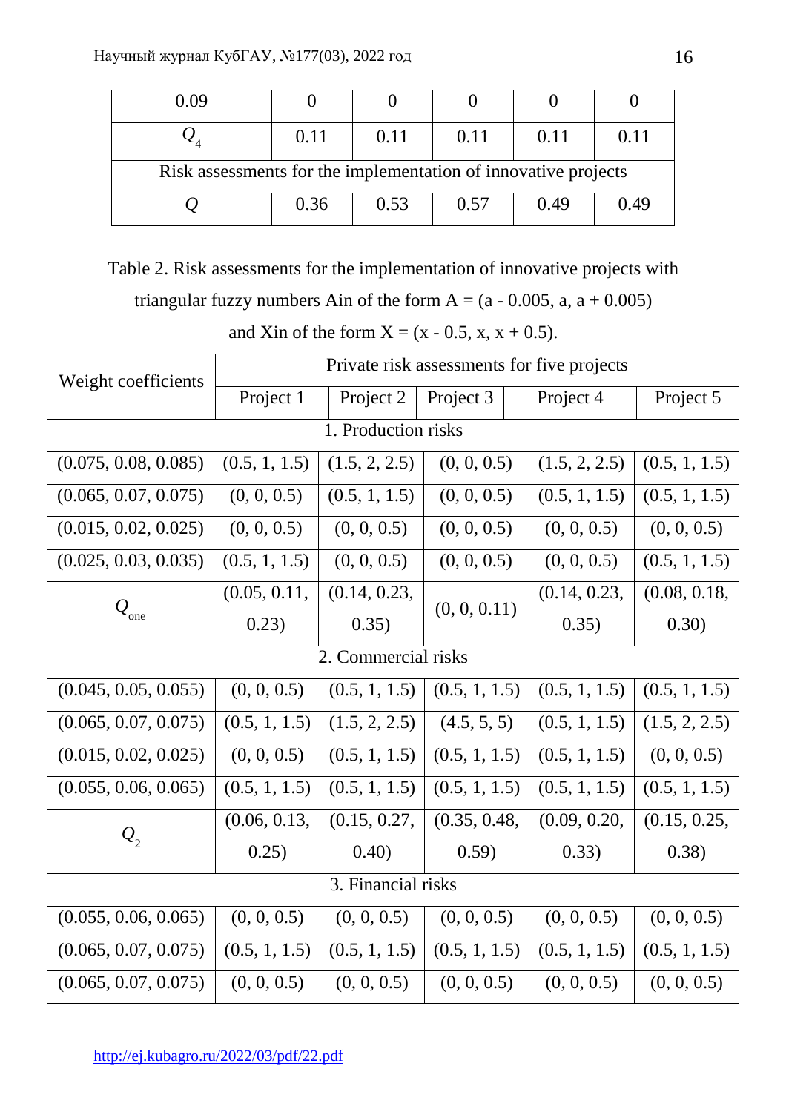| 0.09                                                           |      |      |      |      |      |
|----------------------------------------------------------------|------|------|------|------|------|
|                                                                | 0.11 | 0.11 | 0.11 | 0.11 | 0.11 |
| Risk assessments for the implementation of innovative projects |      |      |      |      |      |
|                                                                | 0.36 | 0.53 | 0.57 | 0.49 | 0.49 |

Table 2. Risk assessments for the implementation of innovative projects with

triangular fuzzy numbers Ain of the form  $A = (a - 0.005, a, a + 0.005)$ 

and Xin of the form  $X = (x - 0.5, x, x + 0.5)$ .

| Weight coefficients  |               | Private risk assessments for five projects |                       |               |               |  |  |
|----------------------|---------------|--------------------------------------------|-----------------------|---------------|---------------|--|--|
|                      | Project 1     | Project 2                                  | Project 3             | Project 4     | Project 5     |  |  |
| 1. Production risks  |               |                                            |                       |               |               |  |  |
| (0.075, 0.08, 0.085) | (0.5, 1, 1.5) | (1.5, 2, 2.5)                              | (0, 0, 0.5)           | (1.5, 2, 2.5) | (0.5, 1, 1.5) |  |  |
| (0.065, 0.07, 0.075) | (0, 0, 0.5)   | (0.5, 1, 1.5)                              | (0, 0, 0.5)           | (0.5, 1, 1.5) | (0.5, 1, 1.5) |  |  |
| (0.015, 0.02, 0.025) | (0, 0, 0.5)   | (0, 0, 0.5)                                | (0, 0, 0.5)           | (0, 0, 0.5)   | (0, 0, 0.5)   |  |  |
| (0.025, 0.03, 0.035) | (0.5, 1, 1.5) | (0, 0, 0.5)                                | (0, 0, 0.5)           | (0, 0, 0.5)   | (0.5, 1, 1.5) |  |  |
| $Q_{_{\rm one}}$     | (0.05, 0.11,  | (0.14, 0.23,                               |                       | (0.14, 0.23,  | (0.08, 0.18,  |  |  |
|                      | 0.23)         | 0.35)                                      | (0, 0, 0.11)<br>0.35) | 0.30)         |               |  |  |
| 2. Commercial risks  |               |                                            |                       |               |               |  |  |
| (0.045, 0.05, 0.055) | (0, 0, 0.5)   | (0.5, 1, 1.5)                              | (0.5, 1, 1.5)         | (0.5, 1, 1.5) | (0.5, 1, 1.5) |  |  |
| (0.065, 0.07, 0.075) | (0.5, 1, 1.5) | (1.5, 2, 2.5)                              | (4.5, 5, 5)           | (0.5, 1, 1.5) | (1.5, 2, 2.5) |  |  |
| (0.015, 0.02, 0.025) | (0, 0, 0.5)   | (0.5, 1, 1.5)                              | (0.5, 1, 1.5)         | (0.5, 1, 1.5) | (0, 0, 0.5)   |  |  |
| (0.055, 0.06, 0.065) | (0.5, 1, 1.5) | (0.5, 1, 1.5)                              | (0.5, 1, 1.5)         | (0.5, 1, 1.5) | (0.5, 1, 1.5) |  |  |
| $Q_{2}$              | (0.06, 0.13,  | (0.15, 0.27,                               | (0.35, 0.48,          | (0.09, 0.20,  | (0.15, 0.25,  |  |  |
|                      | 0.25)         | (0.40)                                     | (0.59)                | 0.33)         | (0.38)        |  |  |
| 3. Financial risks   |               |                                            |                       |               |               |  |  |
| (0.055, 0.06, 0.065) | (0, 0, 0.5)   | (0, 0, 0.5)                                | (0, 0, 0.5)           | (0, 0, 0.5)   | (0, 0, 0.5)   |  |  |
| (0.065, 0.07, 0.075) | (0.5, 1, 1.5) | (0.5, 1, 1.5)                              | (0.5, 1, 1.5)         | (0.5, 1, 1.5) | (0.5, 1, 1.5) |  |  |
| (0.065, 0.07, 0.075) | (0, 0, 0.5)   | (0, 0, 0.5)                                | (0, 0, 0.5)           | (0, 0, 0.5)   | (0, 0, 0.5)   |  |  |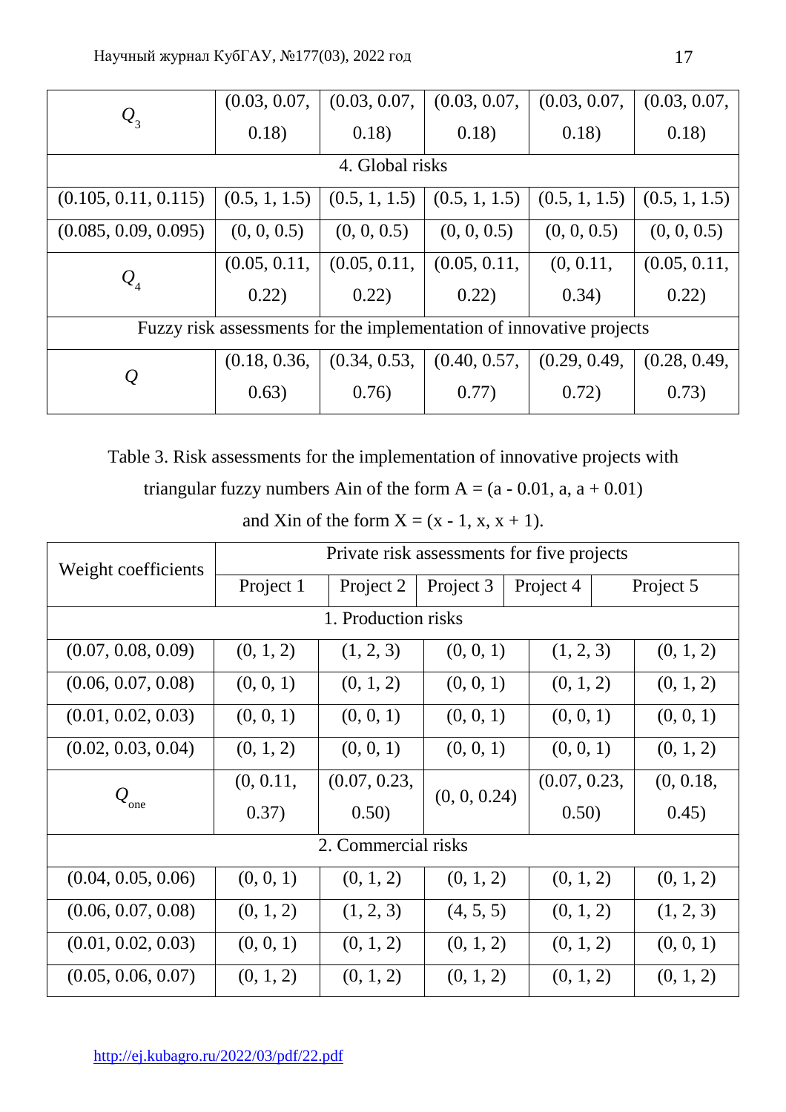|                                                                      | (0.03, 0.07,  | (0.03, 0.07, | (0.03, 0.07,                    | (0.03, 0.07,  | (0.03, 0.07,  |  |  |
|----------------------------------------------------------------------|---------------|--------------|---------------------------------|---------------|---------------|--|--|
| $Q_{3}$                                                              | 0.18)         | 0.18)        | 0.18)                           | 0.18)         | 0.18)         |  |  |
| 4. Global risks                                                      |               |              |                                 |               |               |  |  |
| (0.105, 0.11, 0.115)                                                 | (0.5, 1, 1.5) |              | $(0.5, 1, 1.5)$ $(0.5, 1, 1.5)$ | (0.5, 1, 1.5) | (0.5, 1, 1.5) |  |  |
| (0.085, 0.09, 0.095)                                                 | (0, 0, 0.5)   | (0, 0, 0.5)  | (0, 0, 0.5)                     | (0, 0, 0.5)   | (0, 0, 0.5)   |  |  |
| $\mathcal{Q}_{4}$                                                    | (0.05, 0.11,  | (0.05, 0.11, | (0.05, 0.11,                    | (0, 0.11,     | (0.05, 0.11,  |  |  |
|                                                                      | 0.22)         | 0.22)        | 0.22)                           | (0.34)        | 0.22)         |  |  |
| Fuzzy risk assessments for the implementation of innovative projects |               |              |                                 |               |               |  |  |
|                                                                      | (0.18, 0.36,  | (0.34, 0.53, | (0.40, 0.57,                    | (0.29, 0.49,  | (0.28, 0.49,  |  |  |
| $\varrho$                                                            | 0.63)         | 0.76)        | 0.77)                           | 0.72)         | 0.73)         |  |  |

Table 3. Risk assessments for the implementation of innovative projects with

triangular fuzzy numbers Ain of the form  $A = (a - 0.01, a, a + 0.01)$ 

and Xin of the form  $X = (x - 1, x, x + 1)$ .

| Weight coefficients           |                                     | Private risk assessments for five projects |                       |              |           |  |  |
|-------------------------------|-------------------------------------|--------------------------------------------|-----------------------|--------------|-----------|--|--|
|                               | Project 1<br>Project 3<br>Project 2 |                                            | Project 4             | Project 5    |           |  |  |
| 1. Production risks           |                                     |                                            |                       |              |           |  |  |
| (0.07, 0.08, 0.09)            | (0, 1, 2)                           | (1, 2, 3)                                  | (0, 0, 1)             | (1, 2, 3)    | (0, 1, 2) |  |  |
| (0.06, 0.07, 0.08)            | (0, 0, 1)                           | (0, 1, 2)                                  | (0, 0, 1)             | (0, 1, 2)    | (0, 1, 2) |  |  |
| (0.01, 0.02, 0.03)            | (0, 0, 1)                           | (0, 0, 1)                                  | (0, 0, 1)             | (0, 0, 1)    | (0, 0, 1) |  |  |
| (0.02, 0.03, 0.04)            | (0, 1, 2)                           | (0, 0, 1)                                  | (0, 0, 1)             | (0, 0, 1)    | (0, 1, 2) |  |  |
|                               | (0, 0.11,                           | (0.07, 0.23,                               |                       | (0.07, 0.23, | (0, 0.18, |  |  |
| $\mathcal{Q}_{_{\text{one}}}$ | 0.37)                               | 0.50)                                      | (0, 0, 0.24)<br>0.50) | 0.45)        |           |  |  |
|                               | 2. Commercial risks                 |                                            |                       |              |           |  |  |
| (0.04, 0.05, 0.06)            | (0, 0, 1)                           | (0, 1, 2)                                  | (0, 1, 2)             | (0, 1, 2)    | (0, 1, 2) |  |  |
| (0.06, 0.07, 0.08)            | (0, 1, 2)                           | (1, 2, 3)                                  | (4, 5, 5)             | (0, 1, 2)    | (1, 2, 3) |  |  |
| (0.01, 0.02, 0.03)            | (0, 0, 1)                           | (0, 1, 2)                                  | (0, 1, 2)             | (0, 1, 2)    | (0, 0, 1) |  |  |
| (0.05, 0.06, 0.07)            | (0, 1, 2)                           | (0, 1, 2)                                  | (0, 1, 2)             | (0, 1, 2)    | (0, 1, 2) |  |  |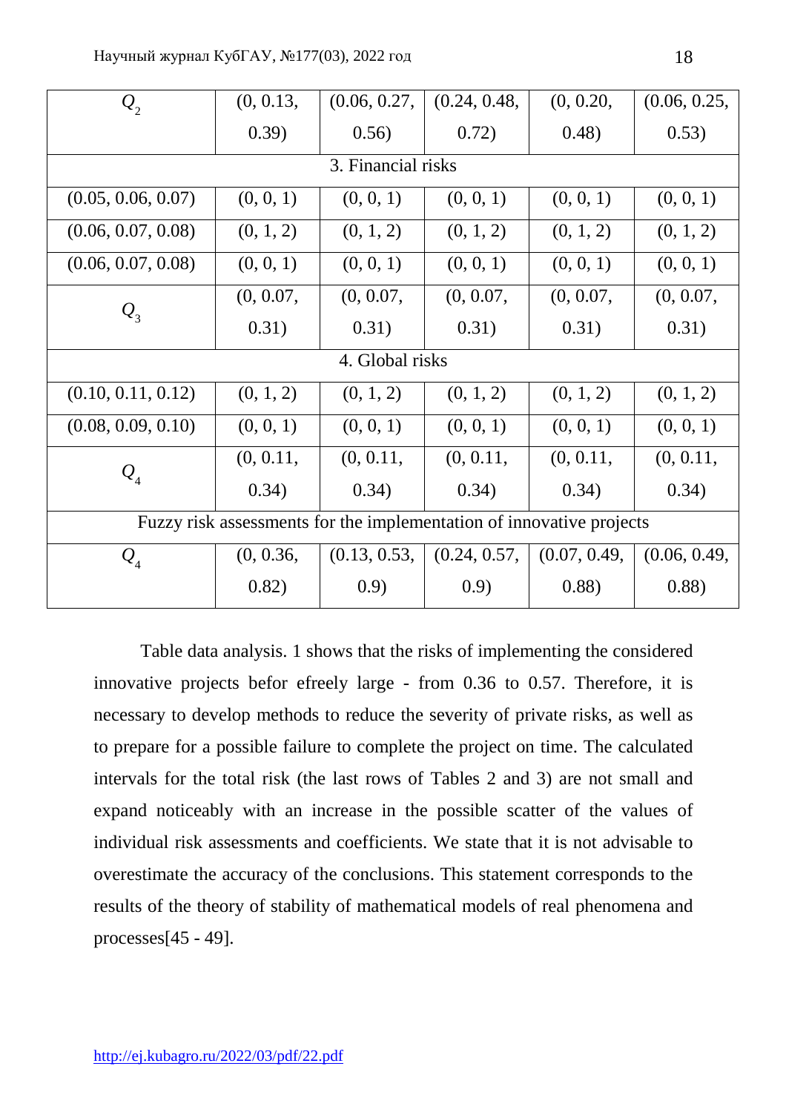| $Q_{2}$            | (0, 0.13,       | (0.06, 0.27,                                                         | (0.24, 0.48, | (0, 0.20,    | (0.06, 0.25, |  |  |
|--------------------|-----------------|----------------------------------------------------------------------|--------------|--------------|--------------|--|--|
|                    | (0.39)          | 0.56)                                                                | 0.72)        | (0.48)       | 0.53)        |  |  |
| 3. Financial risks |                 |                                                                      |              |              |              |  |  |
| (0.05, 0.06, 0.07) | (0, 0, 1)       | (0, 0, 1)                                                            | (0, 0, 1)    | (0, 0, 1)    | (0, 0, 1)    |  |  |
| (0.06, 0.07, 0.08) | (0, 1, 2)       | (0, 1, 2)                                                            | (0, 1, 2)    | (0, 1, 2)    | (0, 1, 2)    |  |  |
| (0.06, 0.07, 0.08) | (0, 0, 1)       | (0, 0, 1)                                                            | (0, 0, 1)    | (0, 0, 1)    | (0, 0, 1)    |  |  |
| $Q_{3}$            | (0, 0.07,       | (0, 0.07,                                                            | (0, 0.07,    | (0, 0.07,    | (0, 0.07,    |  |  |
|                    | 0.31)           | 0.31)                                                                | 0.31)        | 0.31)        | 0.31)        |  |  |
|                    | 4. Global risks |                                                                      |              |              |              |  |  |
| (0.10, 0.11, 0.12) | (0, 1, 2)       | (0, 1, 2)                                                            | (0, 1, 2)    | (0, 1, 2)    | (0, 1, 2)    |  |  |
| (0.08, 0.09, 0.10) | (0, 0, 1)       | (0, 0, 1)                                                            | (0, 0, 1)    | (0, 0, 1)    | (0, 0, 1)    |  |  |
| $\mathcal{Q}_4$    | (0, 0.11,       | (0, 0.11,                                                            | (0, 0.11,    | (0, 0.11,    | (0, 0.11,    |  |  |
|                    | 0.34)           | 0.34)                                                                | 0.34)        | 0.34)        | (0.34)       |  |  |
|                    |                 | Fuzzy risk assessments for the implementation of innovative projects |              |              |              |  |  |
| $\mathcal{Q}_4$    | (0, 0.36,       | (0.13, 0.53,                                                         | (0.24, 0.57, | (0.07, 0.49, | (0.06, 0.49, |  |  |
|                    | 0.82)           | (0.9)                                                                | (0.9)        | (0.88)       | 0.88)        |  |  |

 Table data analysis. 1 shows that the risks of implementing the considered innovative projects befor efreely large - from 0.36 to 0.57. Therefore, it is necessary to develop methods to reduce the severity of private risks, as well as to prepare for a possible failure to complete the project on time. The calculated intervals for the total risk (the last rows of Tables 2 and 3) are not small and expand noticeably with an increase in the possible scatter of the values of individual risk assessments and coefficients. We state that it is not advisable to overestimate the accuracy of the conclusions. This statement corresponds to the results of the theory of stability of mathematical models of real phenomena and processes[45 - 49].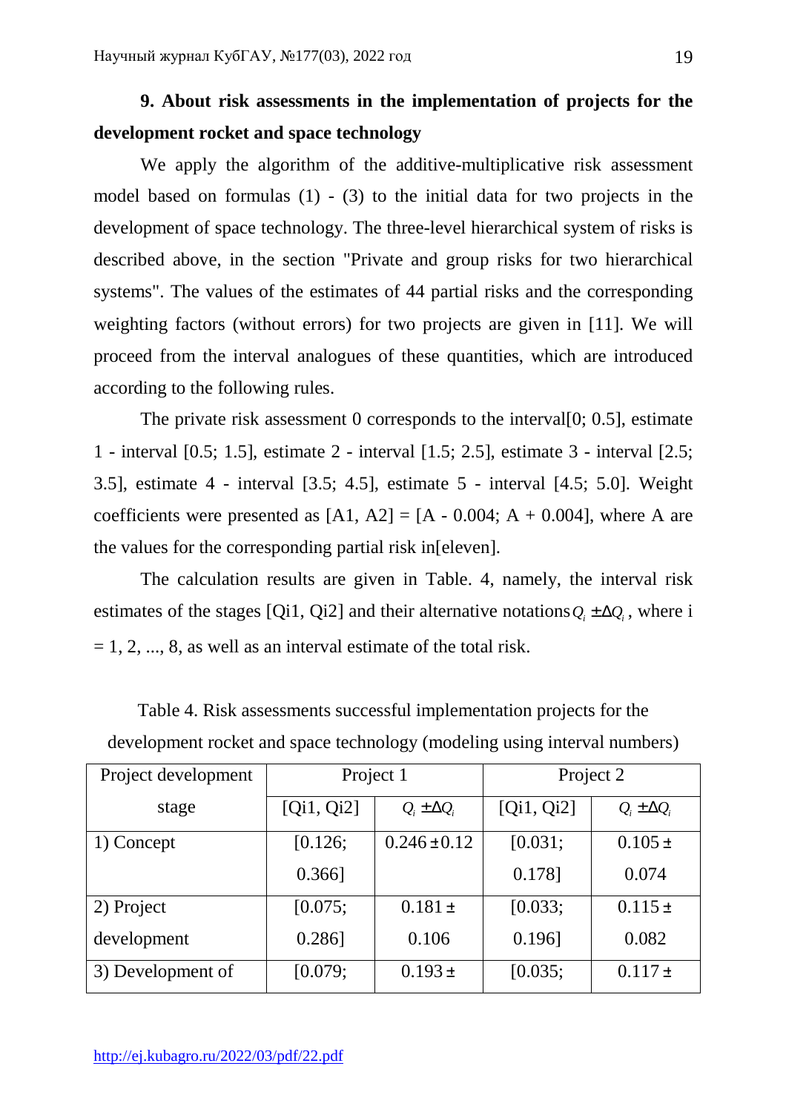# **9. About risk assessments in the implementation of projects for the development rocket and space technology**

 We apply the algorithm of the additive-multiplicative risk assessment model based on formulas (1) - (3) to the initial data for two projects in the development of space technology. The three-level hierarchical system of risks is described above, in the section "Private and group risks for two hierarchical systems". The values of the estimates of 44 partial risks and the corresponding weighting factors (without errors) for two projects are given in [11]. We will proceed from the interval analogues of these quantities, which are introduced according to the following rules.

The private risk assessment 0 corresponds to the interval  $[0; 0.5]$ , estimate 1 - interval [0.5; 1.5], estimate 2 - interval [1.5; 2.5], estimate 3 - interval [2.5; 3.5], estimate 4 - interval [3.5; 4.5], estimate 5 - interval [4.5; 5.0]. Weight coefficients were presented as  $[A1, A2] = [A - 0.004; A + 0.004]$ , where A are the values for the corresponding partial risk in[eleven].

 The calculation results are given in Table. 4, namely, the interval risk estimates of the stages [Qi1, Qi2] and their alternative notations  $Q_i \pm \Delta Q_i$ , where i  $= 1, 2, \dots, 8$ , as well as an interval estimate of the total risk.

| Project development | Project 1  |                      | Project 2  |                      |
|---------------------|------------|----------------------|------------|----------------------|
| stage               | [Qi1, Qi2] | $Q_i \pm \Delta Q_i$ | [Qi1, Qi2] | $Q_i \pm \Delta Q_i$ |
| 1) Concept          | [0.126;    | $0.246 \pm 0.12$     | [0.031;    | $0.105 \pm$          |
|                     | $0.366$ ]  |                      | 0.178]     | 0.074                |
| 2) Project          | [0.075;    | $0.181 \pm$          | [0.033;    | $0.115 \pm$          |
| development         | $0.286$ ]  | 0.106                | 0.196      | 0.082                |
| 3) Development of   | [0.079;    | $0.193 \pm$          | [0.035;    | $0.117 \pm$          |

Table 4. Risk assessments successful implementation projects for the development rocket and space technology (modeling using interval numbers)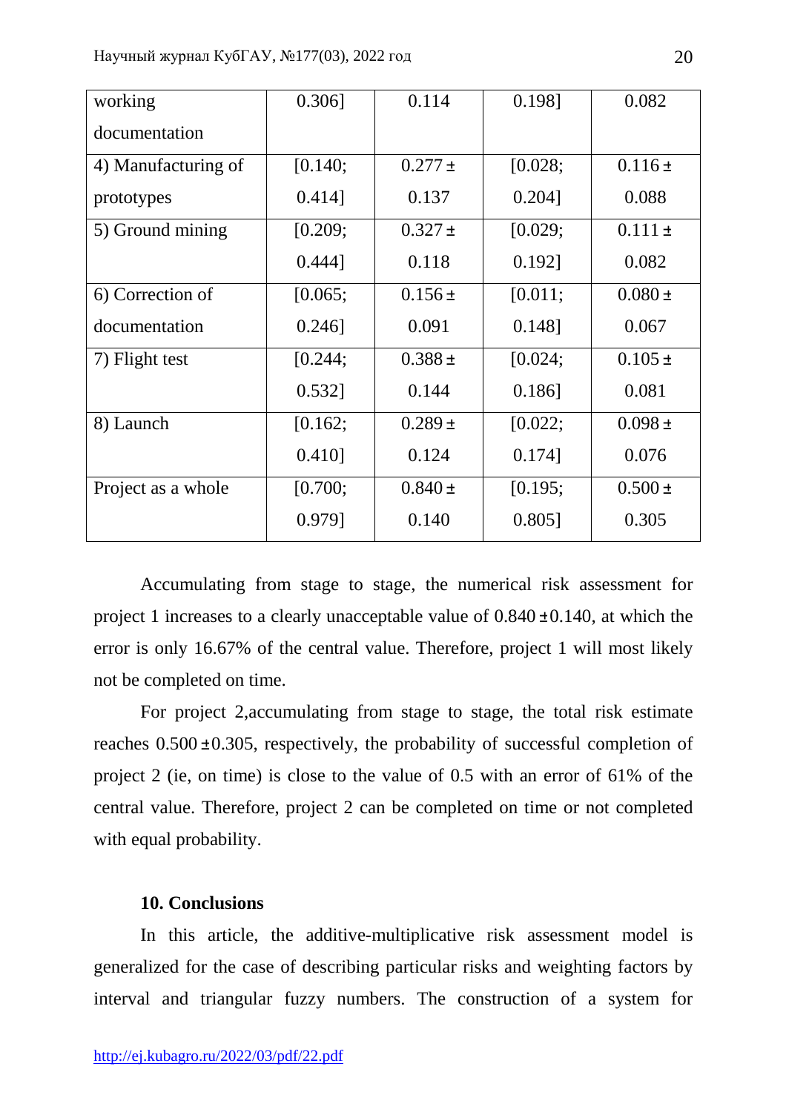| working             | $0.306$ ] | 0.114       | 0.198]    | 0.082       |
|---------------------|-----------|-------------|-----------|-------------|
| documentation       |           |             |           |             |
| 4) Manufacturing of | [0.140;   | $0.277 \pm$ | [0.028;   | $0.116\pm$  |
| prototypes          | 0.414]    | 0.137       | $0.204$ ] | 0.088       |
| 5) Ground mining    | [0.209;   | $0.327 \pm$ | [0.029;   | $0.111 \pm$ |
|                     | 0.444]    | 0.118       | $0.192$ ] | 0.082       |
| 6) Correction of    | [0.065;   | $0.156 \pm$ | [0.011;   | $0.080 \pm$ |
| documentation       | $0.246$ ] | 0.091       | $0.148$ ] | 0.067       |
| 7) Flight test      | [0.244;   | $0.388 \pm$ | [0.024;   | $0.105\pm$  |
|                     | $0.532$ ] | 0.144       | $0.186$ ] | 0.081       |
| 8) Launch           | [0.162;   | $0.289 \pm$ | [0.022;   | $0.098 \pm$ |
|                     | $0.410$ ] | 0.124       | $0.174$ ] | 0.076       |
| Project as a whole  | [0.700;   | $0.840 \pm$ | [0.195;   | $0.500 \pm$ |
|                     | 0.979]    | 0.140       | $0.805$ ] | 0.305       |

 Accumulating from stage to stage, the numerical risk assessment for project 1 increases to a clearly unacceptable value of  $0.840 \pm 0.140$ , at which the error is only 16.67% of the central value. Therefore, project 1 will most likely not be completed on time.

 For project 2,accumulating from stage to stage, the total risk estimate reaches  $0.500 \pm 0.305$ , respectively, the probability of successful completion of project 2 (ie, on time) is close to the value of 0.5 with an error of 61% of the central value. Therefore, project 2 can be completed on time or not completed with equal probability.

# **10. Conclusions**

 In this article, the additive-multiplicative risk assessment model is generalized for the case of describing particular risks and weighting factors by interval and triangular fuzzy numbers. The construction of a system for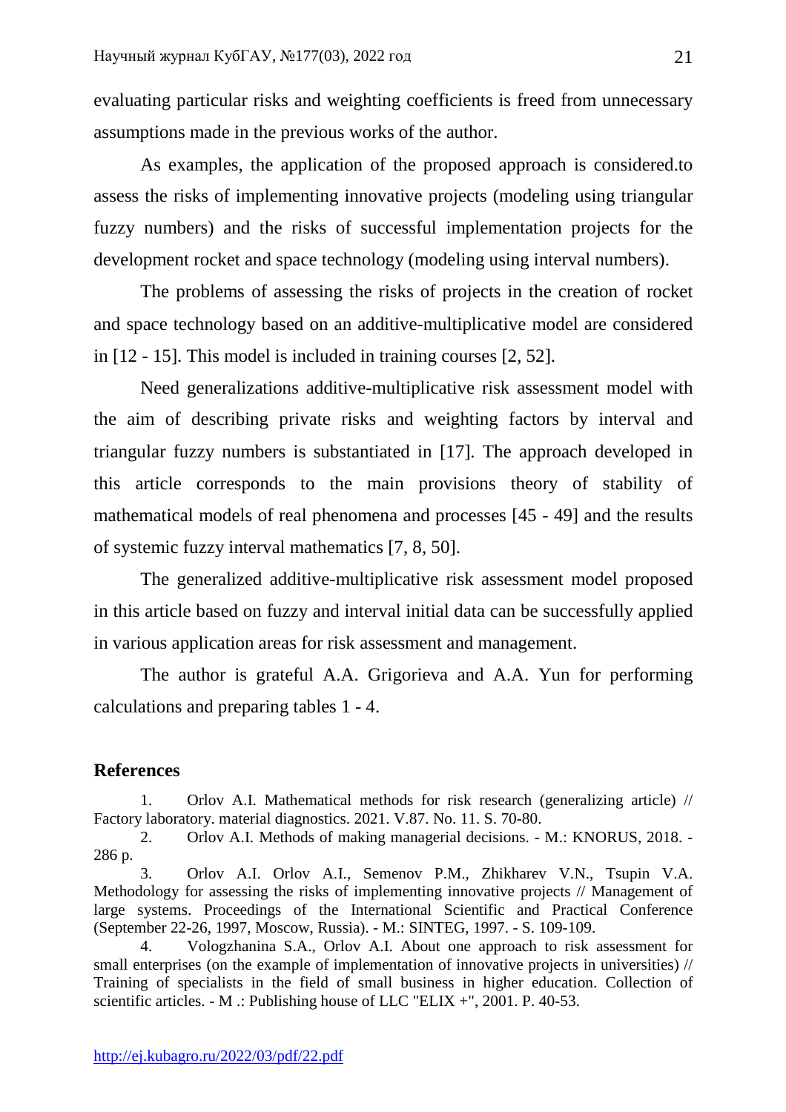evaluating particular risks and weighting coefficients is freed from unnecessary assumptions made in the previous works of the author.

 As examples, the application of the proposed approach is considered.to assess the risks of implementing innovative projects (modeling using triangular fuzzy numbers) and the risks of successful implementation projects for the development rocket and space technology (modeling using interval numbers).

 The problems of assessing the risks of projects in the creation of rocket and space technology based on an additive-multiplicative model are considered in [12 - 15]. This model is included in training courses [2, 52].

 Need generalizations additive-multiplicative risk assessment model with the aim of describing private risks and weighting factors by interval and triangular fuzzy numbers is substantiated in [17]. The approach developed in this article corresponds to the main provisions theory of stability of mathematical models of real phenomena and processes [45 - 49] and the results of systemic fuzzy interval mathematics [7, 8, 50].

 The generalized additive-multiplicative risk assessment model proposed in this article based on fuzzy and interval initial data can be successfully applied in various application areas for risk assessment and management.

 The author is grateful A.A. Grigorieva and A.A. Yun for performing calculations and preparing tables 1 - 4.

### **References**

1. Orlov A.I. Mathematical methods for risk research (generalizing article) // Factory laboratory. material diagnostics. 2021. V.87. No. 11. S. 70-80.

2. Orlov A.I. Methods of making managerial decisions. - M.: KNORUS, 2018. - 286 p.

3. Orlov A.I. Orlov A.I., Semenov P.M., Zhikharev V.N., Tsupin V.A. Methodology for assessing the risks of implementing innovative projects // Management of large systems. Proceedings of the International Scientific and Practical Conference (September 22-26, 1997, Moscow, Russia). - M.: SINTEG, 1997. - S. 109-109.

4. Vologzhanina S.A., Orlov A.I. About one approach to risk assessment for small enterprises (on the example of implementation of innovative projects in universities) // Training of specialists in the field of small business in higher education. Collection of scientific articles. - M .: Publishing house of LLC "ELIX +", 2001. P. 40-53.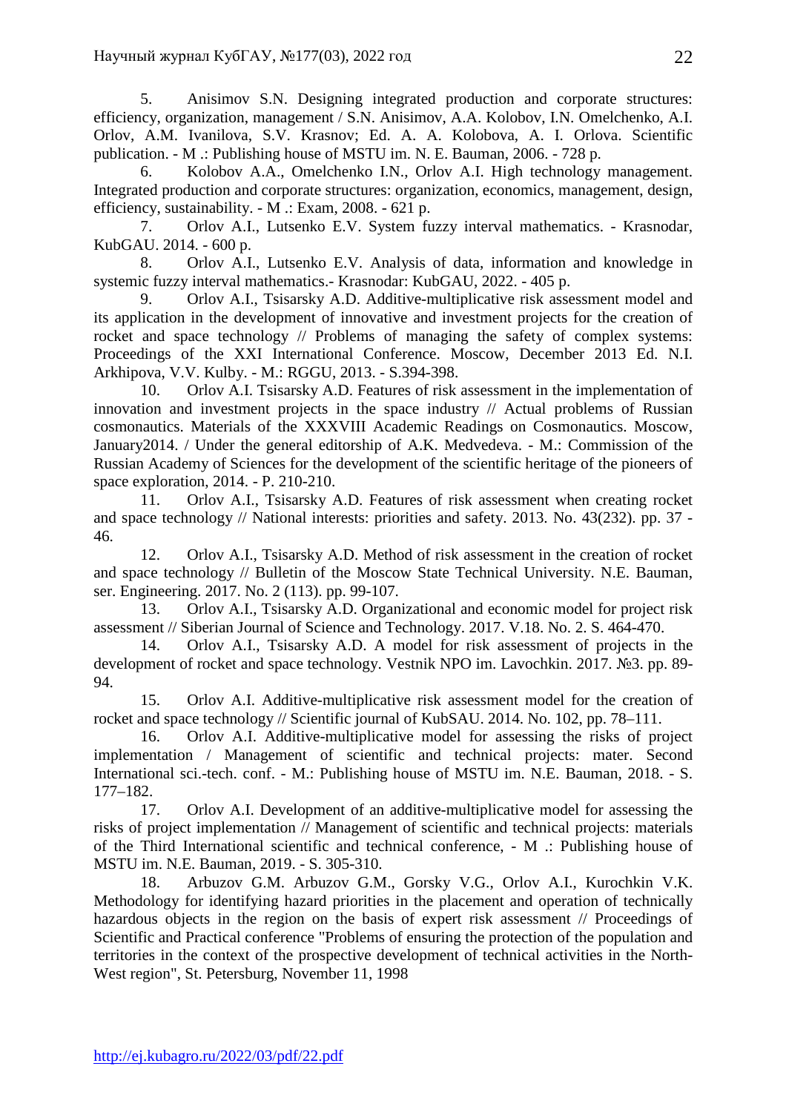5. Anisimov S.N. Designing integrated production and corporate structures: efficiency, organization, management / S.N. Anisimov, A.A. Kolobov, I.N. Omelchenko, A.I. Orlov, A.M. Ivanilova, S.V. Krasnov; Ed. A. A. Kolobova, A. I. Orlova. Scientific publication. - M .: Publishing house of MSTU im. N. E. Bauman, 2006. - 728 p.

6. Kolobov A.A., Omelchenko I.N., Orlov A.I. High technology management. Integrated production and corporate structures: organization, economics, management, design, efficiency, sustainability. - M .: Exam, 2008. - 621 p.

7. Orlov A.I., Lutsenko E.V. System fuzzy interval mathematics. - Krasnodar, KubGAU. 2014. - 600 p.

8. Orlov A.I., Lutsenko E.V. Analysis of data, information and knowledge in systemic fuzzy interval mathematics.- Krasnodar: KubGAU, 2022. - 405 p.

9. Orlov A.I., Tsisarsky A.D. Additive-multiplicative risk assessment model and its application in the development of innovative and investment projects for the creation of rocket and space technology // Problems of managing the safety of complex systems: Proceedings of the XXI International Conference. Moscow, December 2013 Ed. N.I. Arkhipova, V.V. Kulby. - M.: RGGU, 2013. - S.394-398.

10. Orlov A.I. Tsisarsky A.D. Features of risk assessment in the implementation of innovation and investment projects in the space industry // Actual problems of Russian cosmonautics. Materials of the XXXVIII Academic Readings on Cosmonautics. Moscow, January2014. / Under the general editorship of A.K. Medvedeva. - M.: Commission of the Russian Academy of Sciences for the development of the scientific heritage of the pioneers of space exploration, 2014. - P. 210-210.

11. Orlov A.I., Tsisarsky A.D. Features of risk assessment when creating rocket and space technology // National interests: priorities and safety. 2013. No. 43(232). pp. 37 - 46.

12. Orlov A.I., Tsisarsky A.D. Method of risk assessment in the creation of rocket and space technology // Bulletin of the Moscow State Technical University. N.E. Bauman, ser. Engineering. 2017. No. 2 (113). pp. 99-107.

13. Orlov A.I., Tsisarsky A.D. Organizational and economic model for project risk assessment // Siberian Journal of Science and Technology. 2017. V.18. No. 2. S. 464-470.

14. Orlov A.I., Tsisarsky A.D. A model for risk assessment of projects in the development of rocket and space technology. Vestnik NPO im. Lavochkin. 2017. №3. pp. 89- 94.

15. Orlov A.I. Additive-multiplicative risk assessment model for the creation of rocket and space technology // Scientific journal of KubSAU. 2014. No. 102, pp. 78–111.

16. Orlov A.I. Additive-multiplicative model for assessing the risks of project implementation / Management of scientific and technical projects: mater. Second International sci.-tech. conf. - M.: Publishing house of MSTU im. N.E. Bauman, 2018. - S. 177–182.

17. Orlov A.I. Development of an additive-multiplicative model for assessing the risks of project implementation // Management of scientific and technical projects: materials of the Third International scientific and technical conference, - M .: Publishing house of MSTU im. N.E. Bauman, 2019. - S. 305-310.

18. Arbuzov G.M. Arbuzov G.M., Gorsky V.G., Orlov A.I., Kurochkin V.K. Methodology for identifying hazard priorities in the placement and operation of technically hazardous objects in the region on the basis of expert risk assessment // Proceedings of Scientific and Practical conference "Problems of ensuring the protection of the population and territories in the context of the prospective development of technical activities in the North-West region", St. Petersburg, November 11, 1998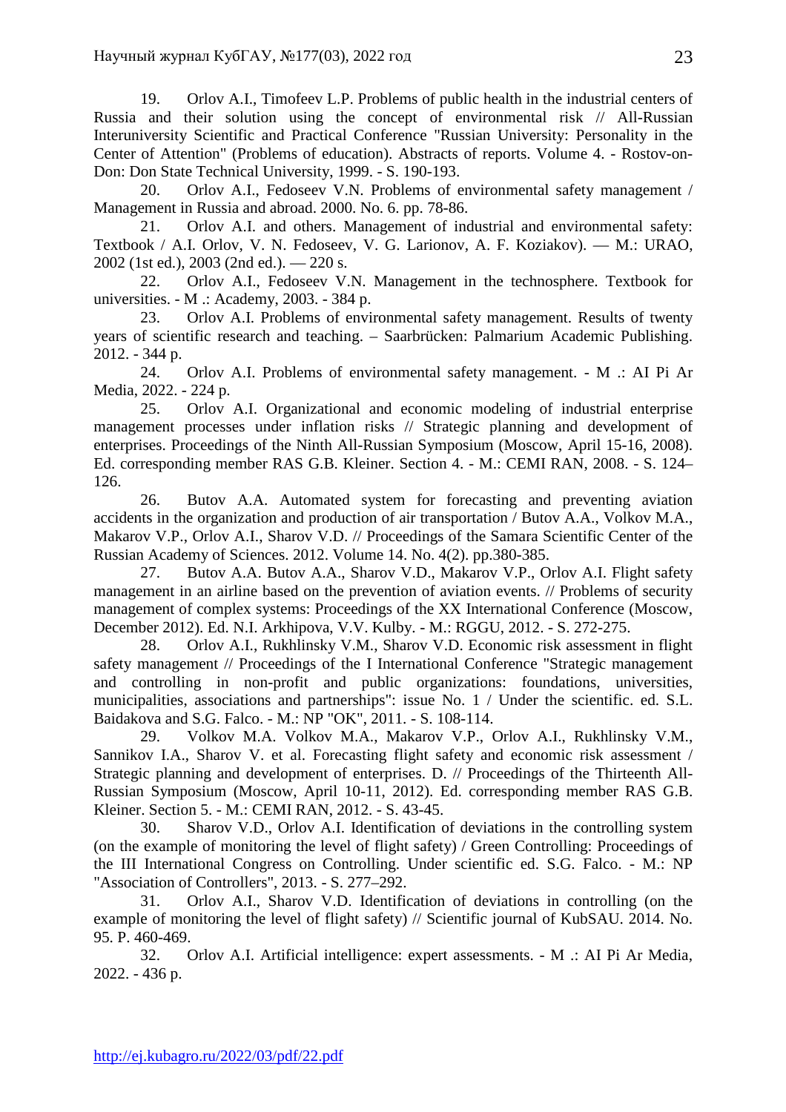19. Orlov A.I., Timofeev L.P. Problems of public health in the industrial centers of Russia and their solution using the concept of environmental risk // All-Russian Interuniversity Scientific and Practical Conference "Russian University: Personality in the Center of Attention" (Problems of education). Abstracts of reports. Volume 4. - Rostov-on-Don: Don State Technical University, 1999. - S. 190-193.

20. Orlov A.I., Fedoseev V.N. Problems of environmental safety management / Management in Russia and abroad. 2000. No. 6. pp. 78-86.

21. Orlov A.I. and others. Management of industrial and environmental safety: Textbook / A.I. Orlov, V. N. Fedoseev, V. G. Larionov, A. F. Koziakov). — M.: URAO, 2002 (1st ed.), 2003 (2nd ed.). — 220 s.

22. Orlov A.I., Fedoseev V.N. Management in the technosphere. Textbook for universities. - M .: Academy, 2003. - 384 p.

23. Orlov A.I. Problems of environmental safety management. Results of twenty years of scientific research and teaching. – Saarbrücken: Palmarium Academic Publishing. 2012. - 344 p.

24. Orlov A.I. Problems of environmental safety management. - M .: AI Pi Ar Media, 2022. - 224 p.

25. Orlov A.I. Organizational and economic modeling of industrial enterprise management processes under inflation risks // Strategic planning and development of enterprises. Proceedings of the Ninth All-Russian Symposium (Moscow, April 15-16, 2008). Ed. corresponding member RAS G.B. Kleiner. Section 4. - M.: CEMI RAN, 2008. - S. 124– 126.

26. Butov A.A. Automated system for forecasting and preventing aviation accidents in the organization and production of air transportation / Butov A.A., Volkov M.A., Makarov V.P., Orlov A.I., Sharov V.D. // Proceedings of the Samara Scientific Center of the Russian Academy of Sciences. 2012. Volume 14. No. 4(2). pp.380-385.

27. Butov A.A. Butov A.A., Sharov V.D., Makarov V.P., Orlov A.I. Flight safety management in an airline based on the prevention of aviation events. // Problems of security management of complex systems: Proceedings of the XX International Conference (Moscow, December 2012). Ed. N.I. Arkhipova, V.V. Kulby. - M.: RGGU, 2012. - S. 272-275.

28. Orlov A.I., Rukhlinsky V.M., Sharov V.D. Economic risk assessment in flight safety management // Proceedings of the I International Conference "Strategic management and controlling in non-profit and public organizations: foundations, universities, municipalities, associations and partnerships": issue No. 1 / Under the scientific. ed. S.L. Baidakova and S.G. Falco. - M.: NP "OK", 2011. - S. 108-114.

29. Volkov M.A. Volkov M.A., Makarov V.P., Orlov A.I., Rukhlinsky V.M., Sannikov I.A., Sharov V. et al. Forecasting flight safety and economic risk assessment / Strategic planning and development of enterprises. D. // Proceedings of the Thirteenth All-Russian Symposium (Moscow, April 10-11, 2012). Ed. corresponding member RAS G.B. Kleiner. Section 5. - M.: CEMI RAN, 2012. - S. 43-45.

30. Sharov V.D., Orlov A.I. Identification of deviations in the controlling system (on the example of monitoring the level of flight safety) / Green Controlling: Proceedings of the III International Congress on Controlling. Under scientific ed. S.G. Falco. - M.: NP "Association of Controllers", 2013. - S. 277–292.

31. Orlov A.I., Sharov V.D. Identification of deviations in controlling (on the example of monitoring the level of flight safety) // Scientific journal of KubSAU. 2014. No. 95. P. 460-469.

32. Orlov A.I. Artificial intelligence: expert assessments. - M .: AI Pi Ar Media, 2022. - 436 p.